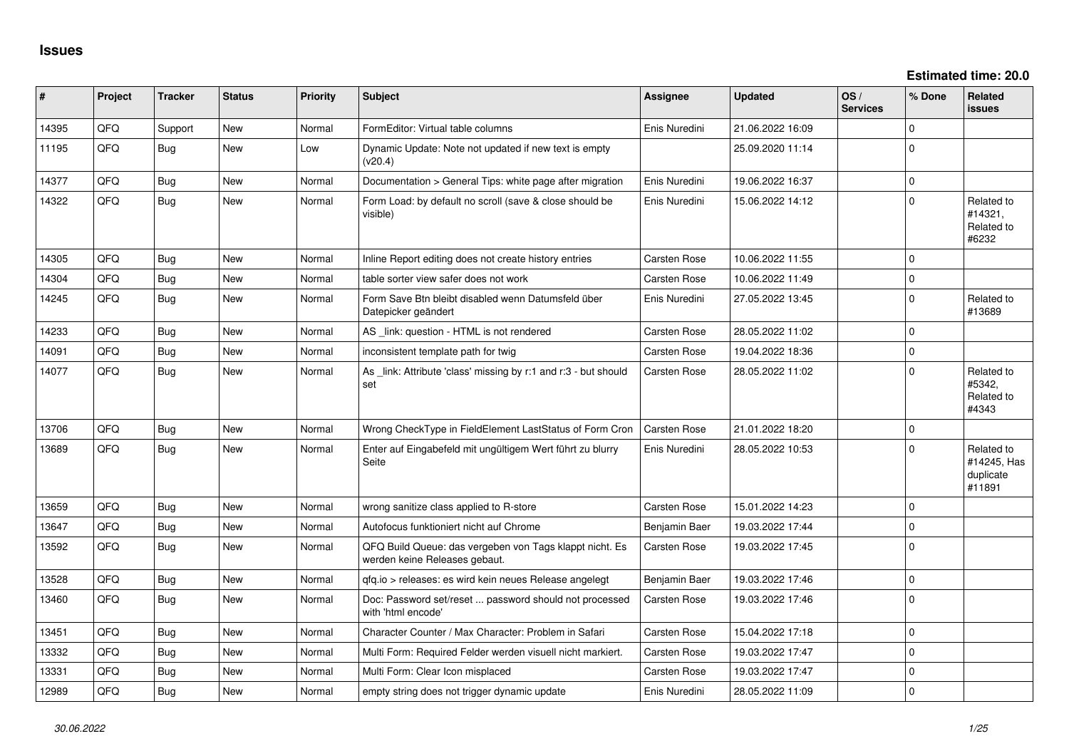| ∥ #   | Project | <b>Tracker</b> | <b>Status</b> | <b>Priority</b> | <b>Subject</b>                                                                           | Assignee            | <b>Updated</b>   | OS/<br><b>Services</b> | % Done      | Related<br>issues                                |
|-------|---------|----------------|---------------|-----------------|------------------------------------------------------------------------------------------|---------------------|------------------|------------------------|-------------|--------------------------------------------------|
| 14395 | QFQ     | Support        | New           | Normal          | FormEditor: Virtual table columns                                                        | Enis Nuredini       | 21.06.2022 16:09 |                        | $\Omega$    |                                                  |
| 11195 | QFQ     | Bug            | New           | Low             | Dynamic Update: Note not updated if new text is empty<br>(v20.4)                         |                     | 25.09.2020 11:14 |                        | $\Omega$    |                                                  |
| 14377 | QFQ     | Bug            | <b>New</b>    | Normal          | Documentation > General Tips: white page after migration                                 | Enis Nuredini       | 19.06.2022 16:37 |                        | $\mathbf 0$ |                                                  |
| 14322 | QFQ     | <b>Bug</b>     | <b>New</b>    | Normal          | Form Load: by default no scroll (save & close should be<br>visible)                      | Enis Nuredini       | 15.06.2022 14:12 |                        | $\Omega$    | Related to<br>#14321,<br>Related to<br>#6232     |
| 14305 | QFQ     | <b>Bug</b>     | <b>New</b>    | Normal          | Inline Report editing does not create history entries                                    | <b>Carsten Rose</b> | 10.06.2022 11:55 |                        | $\Omega$    |                                                  |
| 14304 | QFQ     | <b>Bug</b>     | <b>New</b>    | Normal          | table sorter view safer does not work                                                    | <b>Carsten Rose</b> | 10.06.2022 11:49 |                        | $\mathbf 0$ |                                                  |
| 14245 | QFQ     | <b>Bug</b>     | New           | Normal          | Form Save Btn bleibt disabled wenn Datumsfeld über<br>Datepicker geändert                | Enis Nuredini       | 27.05.2022 13:45 |                        | $\mathbf 0$ | Related to<br>#13689                             |
| 14233 | QFQ     | Bug            | New           | Normal          | AS _link: question - HTML is not rendered                                                | Carsten Rose        | 28.05.2022 11:02 |                        | $\Omega$    |                                                  |
| 14091 | QFQ     | <b>Bug</b>     | New           | Normal          | inconsistent template path for twig                                                      | Carsten Rose        | 19.04.2022 18:36 |                        | $\mathbf 0$ |                                                  |
| 14077 | QFQ     | <b>Bug</b>     | New           | Normal          | As link: Attribute 'class' missing by r:1 and r:3 - but should<br>set                    | <b>Carsten Rose</b> | 28.05.2022 11:02 |                        | $\mathbf 0$ | Related to<br>#5342,<br>Related to<br>#4343      |
| 13706 | QFQ     | Bug            | <b>New</b>    | Normal          | Wrong CheckType in FieldElement LastStatus of Form Cron                                  | Carsten Rose        | 21.01.2022 18:20 |                        | $\mathbf 0$ |                                                  |
| 13689 | QFQ     | <b>Bug</b>     | New           | Normal          | Enter auf Eingabefeld mit ungültigem Wert führt zu blurry<br>Seite                       | Enis Nuredini       | 28.05.2022 10:53 |                        | $\Omega$    | Related to<br>#14245, Has<br>duplicate<br>#11891 |
| 13659 | QFQ     | <b>Bug</b>     | New           | Normal          | wrong sanitize class applied to R-store                                                  | Carsten Rose        | 15.01.2022 14:23 |                        | $\mathbf 0$ |                                                  |
| 13647 | QFQ     | <b>Bug</b>     | New           | Normal          | Autofocus funktioniert nicht auf Chrome                                                  | Benjamin Baer       | 19.03.2022 17:44 |                        | $\mathbf 0$ |                                                  |
| 13592 | QFQ     | Bug            | New           | Normal          | QFQ Build Queue: das vergeben von Tags klappt nicht. Es<br>werden keine Releases gebaut. | Carsten Rose        | 19.03.2022 17:45 |                        | $\Omega$    |                                                  |
| 13528 | QFQ     | Bug            | <b>New</b>    | Normal          | qfq.io > releases: es wird kein neues Release angelegt                                   | Benjamin Baer       | 19.03.2022 17:46 |                        | $\mathbf 0$ |                                                  |
| 13460 | QFQ     | <b>Bug</b>     | New           | Normal          | Doc: Password set/reset  password should not processed<br>with 'html encode'             | Carsten Rose        | 19.03.2022 17:46 |                        | $\mathbf 0$ |                                                  |
| 13451 | QFQ     | <b>Bug</b>     | New           | Normal          | Character Counter / Max Character: Problem in Safari                                     | <b>Carsten Rose</b> | 15.04.2022 17:18 |                        | $\mathbf 0$ |                                                  |
| 13332 | QFQ     | Bug            | New           | Normal          | Multi Form: Required Felder werden visuell nicht markiert.                               | Carsten Rose        | 19.03.2022 17:47 |                        | $\Omega$    |                                                  |
| 13331 | QFQ     | <b>Bug</b>     | New           | Normal          | Multi Form: Clear Icon misplaced                                                         | Carsten Rose        | 19.03.2022 17:47 |                        | $\mathbf 0$ |                                                  |
| 12989 | QFQ     | Bug            | New           | Normal          | empty string does not trigger dynamic update                                             | Enis Nuredini       | 28.05.2022 11:09 |                        | $\mathbf 0$ |                                                  |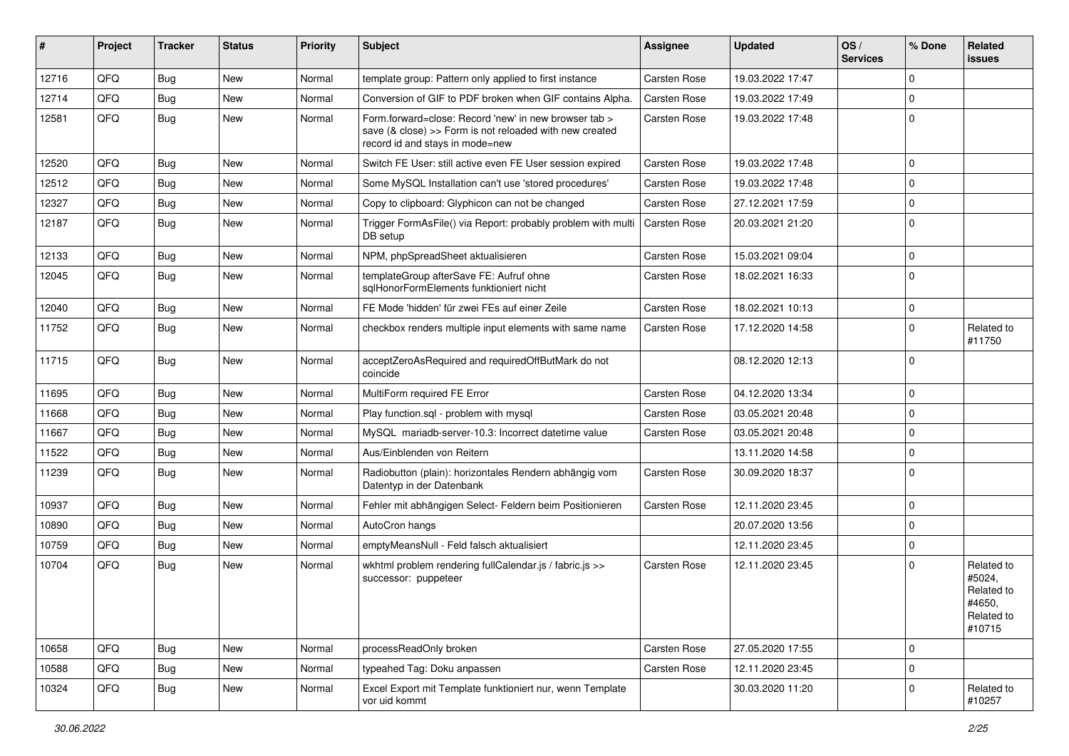| #     | Project | <b>Tracker</b> | <b>Status</b> | <b>Priority</b> | Subject                                                                                                                                             | Assignee            | <b>Updated</b>   | OS/<br><b>Services</b> | % Done      | Related<br><b>issues</b>                                             |
|-------|---------|----------------|---------------|-----------------|-----------------------------------------------------------------------------------------------------------------------------------------------------|---------------------|------------------|------------------------|-------------|----------------------------------------------------------------------|
| 12716 | QFQ     | Bug            | <b>New</b>    | Normal          | template group: Pattern only applied to first instance                                                                                              | <b>Carsten Rose</b> | 19.03.2022 17:47 |                        | $\mathbf 0$ |                                                                      |
| 12714 | QFQ     | Bug            | New           | Normal          | Conversion of GIF to PDF broken when GIF contains Alpha.                                                                                            | Carsten Rose        | 19.03.2022 17:49 |                        | $\mathbf 0$ |                                                                      |
| 12581 | QFQ     | Bug            | New           | Normal          | Form.forward=close: Record 'new' in new browser tab ><br>save (& close) >> Form is not reloaded with new created<br>record id and stays in mode=new | Carsten Rose        | 19.03.2022 17:48 |                        | $\mathbf 0$ |                                                                      |
| 12520 | QFQ     | <b>Bug</b>     | <b>New</b>    | Normal          | Switch FE User: still active even FE User session expired                                                                                           | Carsten Rose        | 19.03.2022 17:48 |                        | $\Omega$    |                                                                      |
| 12512 | QFQ     | Bug            | <b>New</b>    | Normal          | Some MySQL Installation can't use 'stored procedures'                                                                                               | Carsten Rose        | 19.03.2022 17:48 |                        | $\mathbf 0$ |                                                                      |
| 12327 | QFQ     | Bug            | New           | Normal          | Copy to clipboard: Glyphicon can not be changed                                                                                                     | Carsten Rose        | 27.12.2021 17:59 |                        | $\mathbf 0$ |                                                                      |
| 12187 | QFQ     | Bug            | <b>New</b>    | Normal          | Trigger FormAsFile() via Report: probably problem with multi<br>DB setup                                                                            | <b>Carsten Rose</b> | 20.03.2021 21:20 |                        | $\mathbf 0$ |                                                                      |
| 12133 | QFQ     | Bug            | <b>New</b>    | Normal          | NPM, phpSpreadSheet aktualisieren                                                                                                                   | Carsten Rose        | 15.03.2021 09:04 |                        | $\mathbf 0$ |                                                                      |
| 12045 | QFQ     | Bug            | New           | Normal          | templateGroup afterSave FE: Aufruf ohne<br>sqlHonorFormElements funktioniert nicht                                                                  | Carsten Rose        | 18.02.2021 16:33 |                        | $\mathbf 0$ |                                                                      |
| 12040 | QFQ     | Bug            | <b>New</b>    | Normal          | FE Mode 'hidden' für zwei FEs auf einer Zeile                                                                                                       | Carsten Rose        | 18.02.2021 10:13 |                        | $\mathbf 0$ |                                                                      |
| 11752 | QFQ     | <b>Bug</b>     | New           | Normal          | checkbox renders multiple input elements with same name                                                                                             | Carsten Rose        | 17.12.2020 14:58 |                        | $\Omega$    | Related to<br>#11750                                                 |
| 11715 | QFQ     | Bug            | <b>New</b>    | Normal          | acceptZeroAsRequired and requiredOffButMark do not<br>coincide                                                                                      |                     | 08.12.2020 12:13 |                        | $\Omega$    |                                                                      |
| 11695 | QFQ     | Bug            | <b>New</b>    | Normal          | MultiForm required FE Error                                                                                                                         | Carsten Rose        | 04.12.2020 13:34 |                        | $\Omega$    |                                                                      |
| 11668 | QFQ     | <b>Bug</b>     | New           | Normal          | Play function.sql - problem with mysql                                                                                                              | Carsten Rose        | 03.05.2021 20:48 |                        | $\mathbf 0$ |                                                                      |
| 11667 | QFQ     | Bug            | New           | Normal          | MySQL mariadb-server-10.3: Incorrect datetime value                                                                                                 | Carsten Rose        | 03.05.2021 20:48 |                        | $\mathbf 0$ |                                                                      |
| 11522 | QFQ     | <b>Bug</b>     | New           | Normal          | Aus/Einblenden von Reitern                                                                                                                          |                     | 13.11.2020 14:58 |                        | $\mathbf 0$ |                                                                      |
| 11239 | QFQ     | <b>Bug</b>     | New           | Normal          | Radiobutton (plain): horizontales Rendern abhängig vom<br>Datentyp in der Datenbank                                                                 | Carsten Rose        | 30.09.2020 18:37 |                        | $\mathbf 0$ |                                                                      |
| 10937 | QFQ     | Bug            | <b>New</b>    | Normal          | Fehler mit abhängigen Select- Feldern beim Positionieren                                                                                            | Carsten Rose        | 12.11.2020 23:45 |                        | $\mathbf 0$ |                                                                      |
| 10890 | QFQ     | <b>Bug</b>     | New           | Normal          | AutoCron hangs                                                                                                                                      |                     | 20.07.2020 13:56 |                        | $\Omega$    |                                                                      |
| 10759 | QFQ     | <b>Bug</b>     | New           | Normal          | emptyMeansNull - Feld falsch aktualisiert                                                                                                           |                     | 12.11.2020 23:45 |                        | $\mathbf 0$ |                                                                      |
| 10704 | QFQ     | Bug            | New           | Normal          | wkhtml problem rendering fullCalendar.js / fabric.js >><br>successor: puppeteer                                                                     | Carsten Rose        | 12.11.2020 23:45 |                        | 0           | Related to<br>#5024,<br>Related to<br>#4650,<br>Related to<br>#10715 |
| 10658 | QFQ     | <b>Bug</b>     | New           | Normal          | processReadOnly broken                                                                                                                              | Carsten Rose        | 27.05.2020 17:55 |                        | $\mathbf 0$ |                                                                      |
| 10588 | QFQ     | <b>Bug</b>     | New           | Normal          | typeahed Tag: Doku anpassen                                                                                                                         | Carsten Rose        | 12.11.2020 23:45 |                        | $\mathbf 0$ |                                                                      |
| 10324 | QFQ     | <b>Bug</b>     | New           | Normal          | Excel Export mit Template funktioniert nur, wenn Template<br>vor uid kommt                                                                          |                     | 30.03.2020 11:20 |                        | $\mathbf 0$ | Related to<br>#10257                                                 |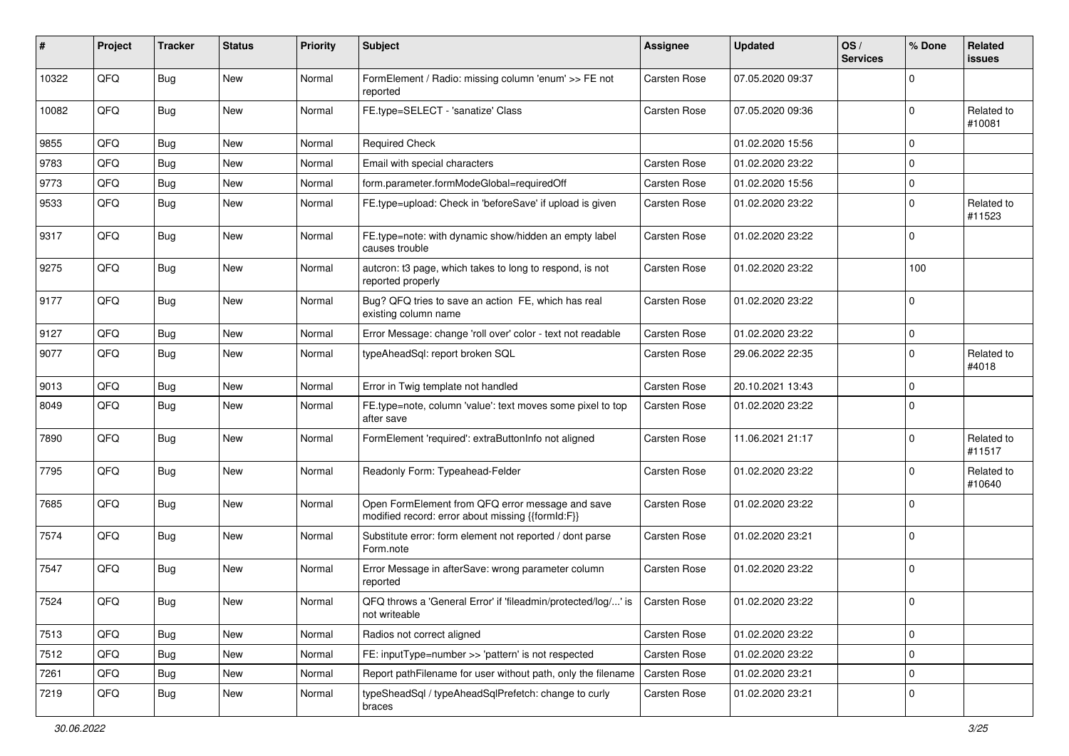| #     | Project | <b>Tracker</b> | <b>Status</b> | <b>Priority</b> | <b>Subject</b>                                                                                        | Assignee     | <b>Updated</b>   | OS/<br><b>Services</b> | % Done      | Related<br><b>issues</b> |
|-------|---------|----------------|---------------|-----------------|-------------------------------------------------------------------------------------------------------|--------------|------------------|------------------------|-------------|--------------------------|
| 10322 | QFQ     | <b>Bug</b>     | New           | Normal          | FormElement / Radio: missing column 'enum' >> FE not<br>reported                                      | Carsten Rose | 07.05.2020 09:37 |                        | $\Omega$    |                          |
| 10082 | QFQ     | Bug            | <b>New</b>    | Normal          | FE.type=SELECT - 'sanatize' Class                                                                     | Carsten Rose | 07.05.2020 09:36 |                        | $\mathbf 0$ | Related to<br>#10081     |
| 9855  | QFQ     | Bug            | New           | Normal          | <b>Required Check</b>                                                                                 |              | 01.02.2020 15:56 |                        | $\mathbf 0$ |                          |
| 9783  | QFQ     | Bug            | <b>New</b>    | Normal          | Email with special characters                                                                         | Carsten Rose | 01.02.2020 23:22 |                        | $\mathbf 0$ |                          |
| 9773  | QFQ     | Bug            | <b>New</b>    | Normal          | form.parameter.formModeGlobal=requiredOff                                                             | Carsten Rose | 01.02.2020 15:56 |                        | 0           |                          |
| 9533  | QFQ     | Bug            | New           | Normal          | FE.type=upload: Check in 'beforeSave' if upload is given                                              | Carsten Rose | 01.02.2020 23:22 |                        | $\mathbf 0$ | Related to<br>#11523     |
| 9317  | QFQ     | Bug            | New           | Normal          | FE.type=note: with dynamic show/hidden an empty label<br>causes trouble                               | Carsten Rose | 01.02.2020 23:22 |                        | $\mathbf 0$ |                          |
| 9275  | QFQ     | <b>Bug</b>     | New           | Normal          | autcron: t3 page, which takes to long to respond, is not<br>reported properly                         | Carsten Rose | 01.02.2020 23:22 |                        | 100         |                          |
| 9177  | QFQ     | Bug            | New           | Normal          | Bug? QFQ tries to save an action FE, which has real<br>existing column name                           | Carsten Rose | 01.02.2020 23:22 |                        | $\mathbf 0$ |                          |
| 9127  | QFQ     | Bug            | New           | Normal          | Error Message: change 'roll over' color - text not readable                                           | Carsten Rose | 01.02.2020 23:22 |                        | 0           |                          |
| 9077  | QFQ     | Bug            | <b>New</b>    | Normal          | typeAheadSql: report broken SQL                                                                       | Carsten Rose | 29.06.2022 22:35 |                        | $\mathbf 0$ | Related to<br>#4018      |
| 9013  | QFQ     | Bug            | <b>New</b>    | Normal          | Error in Twig template not handled                                                                    | Carsten Rose | 20.10.2021 13:43 |                        | $\mathbf 0$ |                          |
| 8049  | QFQ     | <b>Bug</b>     | New           | Normal          | FE.type=note, column 'value': text moves some pixel to top<br>after save                              | Carsten Rose | 01.02.2020 23:22 |                        | $\Omega$    |                          |
| 7890  | QFQ     | Bug            | <b>New</b>    | Normal          | FormElement 'required': extraButtonInfo not aligned                                                   | Carsten Rose | 11.06.2021 21:17 |                        | $\mathbf 0$ | Related to<br>#11517     |
| 7795  | QFQ     | <b>Bug</b>     | New           | Normal          | Readonly Form: Typeahead-Felder                                                                       | Carsten Rose | 01.02.2020 23:22 |                        | $\mathbf 0$ | Related to<br>#10640     |
| 7685  | QFQ     | <b>Bug</b>     | New           | Normal          | Open FormElement from QFQ error message and save<br>modified record: error about missing {{formId:F}} | Carsten Rose | 01.02.2020 23:22 |                        | $\mathbf 0$ |                          |
| 7574  | QFQ     | Bug            | <b>New</b>    | Normal          | Substitute error: form element not reported / dont parse<br>Form.note                                 | Carsten Rose | 01.02.2020 23:21 |                        | $\mathbf 0$ |                          |
| 7547  | QFQ     | Bug            | <b>New</b>    | Normal          | Error Message in afterSave: wrong parameter column<br>reported                                        | Carsten Rose | 01.02.2020 23:22 |                        | $\mathbf 0$ |                          |
| 7524  | QFQ     | Bug            | New           | Normal          | QFQ throws a 'General Error' if 'fileadmin/protected/log/' is   Carsten Rose<br>not writeable         |              | 01.02.2020 23:22 |                        | $\mathbf 0$ |                          |
| 7513  | QFQ     | Bug            | New           | Normal          | Radios not correct aligned                                                                            | Carsten Rose | 01.02.2020 23:22 |                        | $\mathbf 0$ |                          |
| 7512  | QFQ     | <b>Bug</b>     | New           | Normal          | FE: inputType=number >> 'pattern' is not respected                                                    | Carsten Rose | 01.02.2020 23:22 |                        | 0           |                          |
| 7261  | QFQ     | <b>Bug</b>     | New           | Normal          | Report pathFilename for user without path, only the filename                                          | Carsten Rose | 01.02.2020 23:21 |                        | $\pmb{0}$   |                          |
| 7219  | QFQ     | <b>Bug</b>     | New           | Normal          | typeSheadSql / typeAheadSqlPrefetch: change to curly<br>braces                                        | Carsten Rose | 01.02.2020 23:21 |                        | 0           |                          |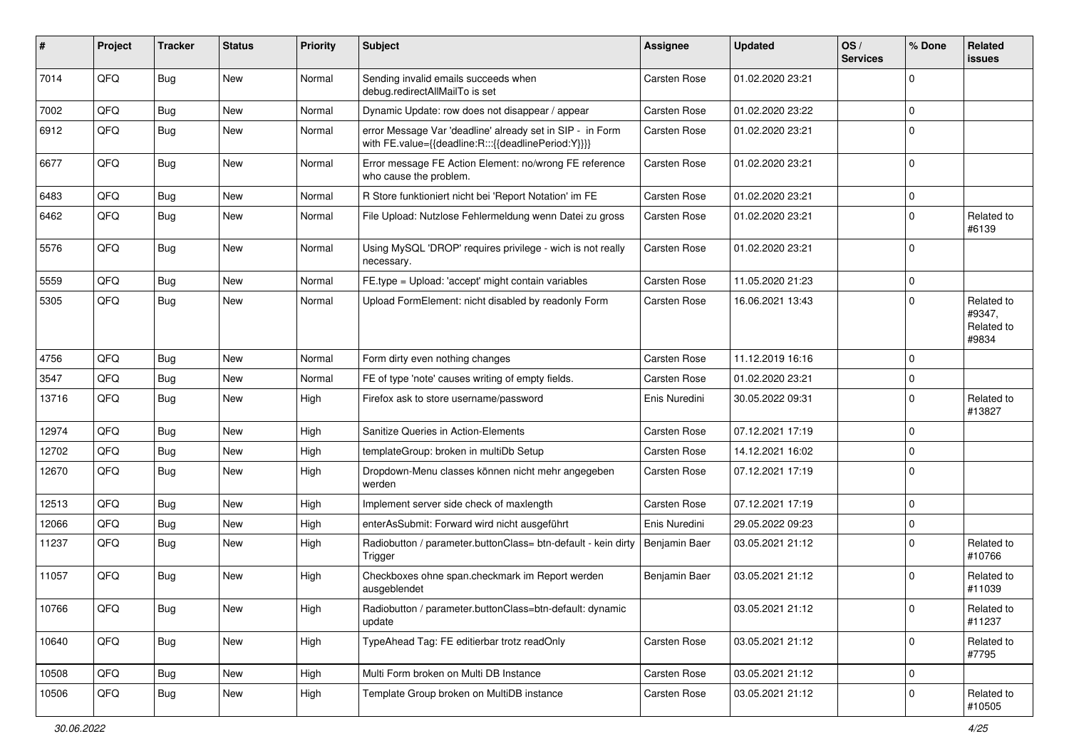| #     | Project    | <b>Tracker</b> | <b>Status</b> | <b>Priority</b> | <b>Subject</b>                                                                                                   | <b>Assignee</b> | <b>Updated</b>   | OS/<br><b>Services</b> | % Done      | Related<br><b>issues</b>                    |
|-------|------------|----------------|---------------|-----------------|------------------------------------------------------------------------------------------------------------------|-----------------|------------------|------------------------|-------------|---------------------------------------------|
| 7014  | QFQ        | Bug            | New           | Normal          | Sending invalid emails succeeds when<br>debug.redirectAllMailTo is set                                           | Carsten Rose    | 01.02.2020 23:21 |                        | 0           |                                             |
| 7002  | QFQ        | Bug            | <b>New</b>    | Normal          | Dynamic Update: row does not disappear / appear                                                                  | Carsten Rose    | 01.02.2020 23:22 |                        | $\mathbf 0$ |                                             |
| 6912  | QFQ        | Bug            | New           | Normal          | error Message Var 'deadline' already set in SIP - in Form<br>with FE.value={{deadline:R:::{{deadlinePeriod:Y}}}} | Carsten Rose    | 01.02.2020 23:21 |                        | $\Omega$    |                                             |
| 6677  | QFQ        | Bug            | <b>New</b>    | Normal          | Error message FE Action Element: no/wrong FE reference<br>who cause the problem.                                 | Carsten Rose    | 01.02.2020 23:21 |                        | $\Omega$    |                                             |
| 6483  | QFQ        | Bug            | <b>New</b>    | Normal          | R Store funktioniert nicht bei 'Report Notation' im FE                                                           | Carsten Rose    | 01.02.2020 23:21 |                        | 0           |                                             |
| 6462  | QFQ        | Bug            | <b>New</b>    | Normal          | File Upload: Nutzlose Fehlermeldung wenn Datei zu gross                                                          | Carsten Rose    | 01.02.2020 23:21 |                        | $\Omega$    | Related to<br>#6139                         |
| 5576  | QFQ        | Bug            | <b>New</b>    | Normal          | Using MySQL 'DROP' requires privilege - wich is not really<br>necessary.                                         | Carsten Rose    | 01.02.2020 23:21 |                        | 0           |                                             |
| 5559  | QFQ        | Bug            | New           | Normal          | FE.type = Upload: 'accept' might contain variables                                                               | Carsten Rose    | 11.05.2020 21:23 |                        | 0           |                                             |
| 5305  | QFQ        | Bug            | New           | Normal          | Upload FormElement: nicht disabled by readonly Form                                                              | Carsten Rose    | 16.06.2021 13:43 |                        | $\Omega$    | Related to<br>#9347,<br>Related to<br>#9834 |
| 4756  | QFQ        | Bug            | <b>New</b>    | Normal          | Form dirty even nothing changes                                                                                  | Carsten Rose    | 11.12.2019 16:16 |                        | 0           |                                             |
| 3547  | QFQ        | <b>Bug</b>     | New           | Normal          | FE of type 'note' causes writing of empty fields.                                                                | Carsten Rose    | 01.02.2020 23:21 |                        | 0           |                                             |
| 13716 | QFQ        | Bug            | New           | High            | Firefox ask to store username/password                                                                           | Enis Nuredini   | 30.05.2022 09:31 |                        | $\Omega$    | Related to<br>#13827                        |
| 12974 | QFQ        | <b>Bug</b>     | <b>New</b>    | High            | Sanitize Queries in Action-Elements                                                                              | Carsten Rose    | 07.12.2021 17:19 |                        | $\Omega$    |                                             |
| 12702 | QFQ        | <b>Bug</b>     | <b>New</b>    | High            | templateGroup: broken in multiDb Setup                                                                           | Carsten Rose    | 14.12.2021 16:02 |                        | 0           |                                             |
| 12670 | QFQ        | Bug            | New           | High            | Dropdown-Menu classes können nicht mehr angegeben<br>werden                                                      | Carsten Rose    | 07.12.2021 17:19 |                        | $\Omega$    |                                             |
| 12513 | QFQ        | <b>Bug</b>     | <b>New</b>    | High            | Implement server side check of maxlength                                                                         | Carsten Rose    | 07.12.2021 17:19 |                        | 0           |                                             |
| 12066 | QFQ        | <b>Bug</b>     | New           | High            | enterAsSubmit: Forward wird nicht ausgeführt                                                                     | Enis Nuredini   | 29.05.2022 09:23 |                        | 0           |                                             |
| 11237 | QFQ        | <b>Bug</b>     | New           | High            | Radiobutton / parameter.buttonClass= btn-default - kein dirty<br>Trigger                                         | Benjamin Baer   | 03.05.2021 21:12 |                        | $\Omega$    | Related to<br>#10766                        |
| 11057 | QFQ        | Bug            | <b>New</b>    | High            | Checkboxes ohne span.checkmark im Report werden<br>ausgeblendet                                                  | Benjamin Baer   | 03.05.2021 21:12 |                        | $\Omega$    | Related to<br>#11039                        |
| 10766 | <b>QFQ</b> | Bug            | New           | High            | Radiobutton / parameter.buttonClass=btn-default: dynamic<br>update                                               |                 | 03.05.2021 21:12 |                        | 0           | Related to<br>#11237                        |
| 10640 | QFQ        | Bug            | New           | High            | TypeAhead Tag: FE editierbar trotz readOnly                                                                      | Carsten Rose    | 03.05.2021 21:12 |                        | 0           | Related to<br>#7795                         |
| 10508 | QFQ        | Bug            | New           | High            | Multi Form broken on Multi DB Instance                                                                           | Carsten Rose    | 03.05.2021 21:12 |                        | $\pmb{0}$   |                                             |
| 10506 | QFQ        | <b>Bug</b>     | New           | High            | Template Group broken on MultiDB instance                                                                        | Carsten Rose    | 03.05.2021 21:12 |                        | 0           | Related to<br>#10505                        |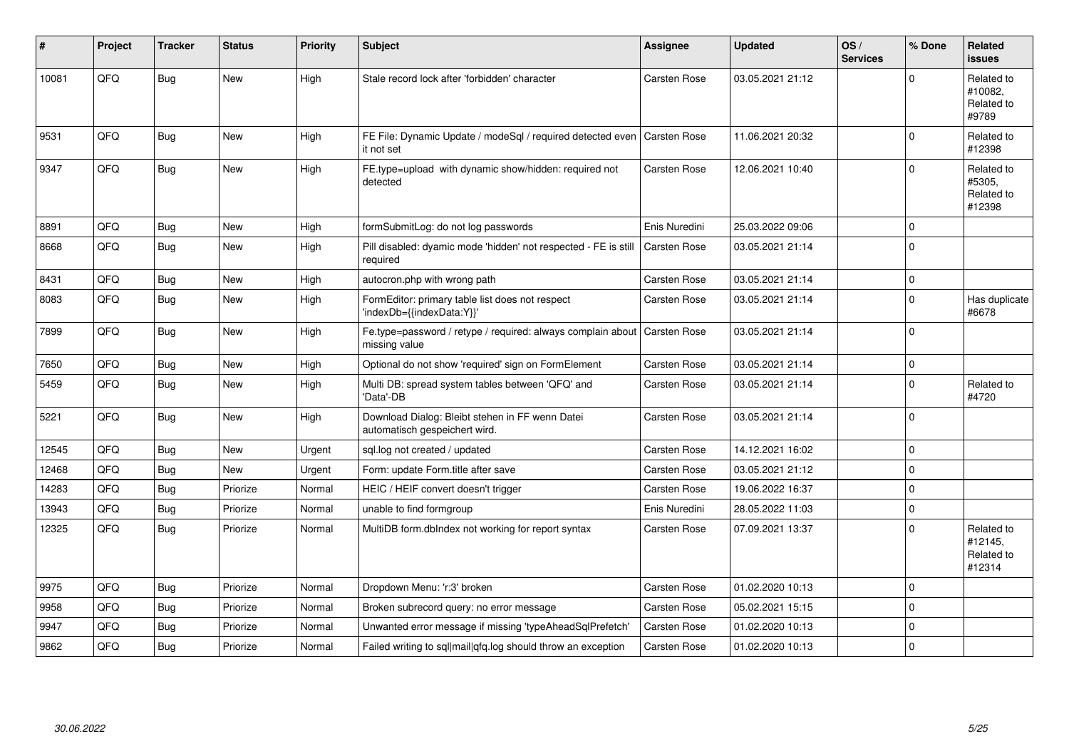| #     | Project | <b>Tracker</b> | <b>Status</b> | <b>Priority</b> | <b>Subject</b>                                                                   | <b>Assignee</b> | <b>Updated</b>   | OS/<br><b>Services</b> | % Done   | <b>Related</b><br><b>issues</b>               |
|-------|---------|----------------|---------------|-----------------|----------------------------------------------------------------------------------|-----------------|------------------|------------------------|----------|-----------------------------------------------|
| 10081 | QFQ     | Bug            | New           | High            | Stale record lock after 'forbidden' character                                    | Carsten Rose    | 03.05.2021 21:12 |                        | $\Omega$ | Related to<br>#10082,<br>Related to<br>#9789  |
| 9531  | QFQ     | Bug            | <b>New</b>    | High            | FE File: Dynamic Update / modeSql / required detected even<br>it not set         | Carsten Rose    | 11.06.2021 20:32 |                        | $\Omega$ | Related to<br>#12398                          |
| 9347  | QFQ     | Bug            | <b>New</b>    | High            | FE.type=upload with dynamic show/hidden: required not<br>detected                | Carsten Rose    | 12.06.2021 10:40 |                        | $\Omega$ | Related to<br>#5305.<br>Related to<br>#12398  |
| 8891  | QFQ     | <b>Bug</b>     | <b>New</b>    | High            | formSubmitLog: do not log passwords                                              | Enis Nuredini   | 25.03.2022 09:06 |                        | $\Omega$ |                                               |
| 8668  | QFQ     | Bug            | <b>New</b>    | High            | Pill disabled: dyamic mode 'hidden' not respected - FE is still<br>required      | Carsten Rose    | 03.05.2021 21:14 |                        | $\Omega$ |                                               |
| 8431  | QFQ     | Bug            | <b>New</b>    | High            | autocron.php with wrong path                                                     | Carsten Rose    | 03.05.2021 21:14 |                        | 0        |                                               |
| 8083  | QFQ     | Bug            | New           | High            | FormEditor: primary table list does not respect<br>'indexDb={{indexData:Y}}'     | Carsten Rose    | 03.05.2021 21:14 |                        | 0        | Has duplicate<br>#6678                        |
| 7899  | QFQ     | Bug            | New           | High            | Fe.type=password / retype / required: always complain about<br>missing value     | Carsten Rose    | 03.05.2021 21:14 |                        | $\Omega$ |                                               |
| 7650  | QFQ     | Bug            | <b>New</b>    | High            | Optional do not show 'required' sign on FormElement                              | Carsten Rose    | 03.05.2021 21:14 |                        | $\Omega$ |                                               |
| 5459  | QFQ     | <b>Bug</b>     | <b>New</b>    | High            | Multi DB: spread system tables between 'QFQ' and<br>'Data'-DB                    | Carsten Rose    | 03.05.2021 21:14 |                        | $\Omega$ | Related to<br>#4720                           |
| 5221  | QFQ     | Bug            | <b>New</b>    | High            | Download Dialog: Bleibt stehen in FF wenn Datei<br>automatisch gespeichert wird. | Carsten Rose    | 03.05.2021 21:14 |                        | $\Omega$ |                                               |
| 12545 | QFQ     | <b>Bug</b>     | <b>New</b>    | Urgent          | sgl.log not created / updated                                                    | Carsten Rose    | 14.12.2021 16:02 |                        | 0        |                                               |
| 12468 | QFQ     | Bug            | <b>New</b>    | Urgent          | Form: update Form.title after save                                               | Carsten Rose    | 03.05.2021 21:12 |                        | $\Omega$ |                                               |
| 14283 | QFQ     | Bug            | Priorize      | Normal          | HEIC / HEIF convert doesn't trigger                                              | Carsten Rose    | 19.06.2022 16:37 |                        | $\Omega$ |                                               |
| 13943 | QFQ     | Bug            | Priorize      | Normal          | unable to find formgroup                                                         | Enis Nuredini   | 28.05.2022 11:03 |                        | 0        |                                               |
| 12325 | QFQ     | Bug            | Priorize      | Normal          | MultiDB form.dblndex not working for report syntax                               | Carsten Rose    | 07.09.2021 13:37 |                        | 0        | Related to<br>#12145,<br>Related to<br>#12314 |
| 9975  | QFQ     | Bug            | Priorize      | Normal          | Dropdown Menu: 'r:3' broken                                                      | Carsten Rose    | 01.02.2020 10:13 |                        | $\Omega$ |                                               |
| 9958  | QFQ     | <b>Bug</b>     | Priorize      | Normal          | Broken subrecord query: no error message                                         | Carsten Rose    | 05.02.2021 15:15 |                        | $\Omega$ |                                               |
| 9947  | QFQ     | Bug            | Priorize      | Normal          | Unwanted error message if missing 'typeAheadSqlPrefetch'                         | Carsten Rose    | 01.02.2020 10:13 |                        | $\Omega$ |                                               |
| 9862  | QFQ     | Bug            | Priorize      | Normal          | Failed writing to sql mail qfq.log should throw an exception                     | Carsten Rose    | 01.02.2020 10:13 |                        | 0        |                                               |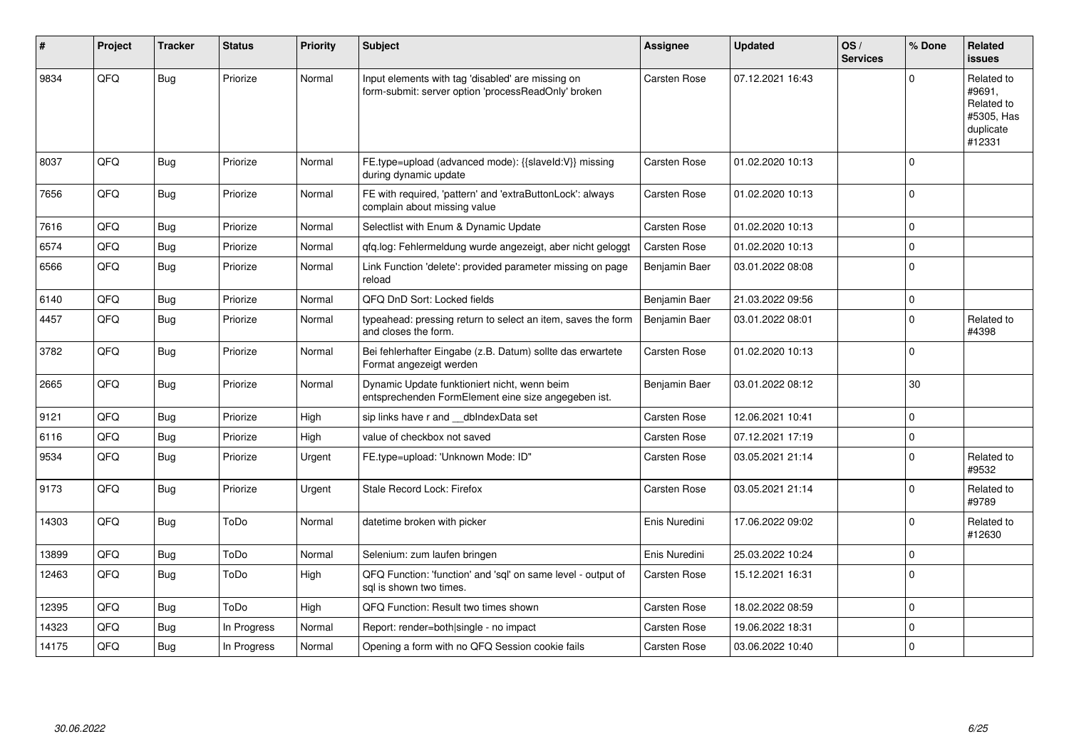| #     | Project | <b>Tracker</b> | <b>Status</b> | Priority | Subject                                                                                                  | Assignee            | <b>Updated</b>   | OS/<br><b>Services</b> | % Done      | Related<br><b>issues</b>                                                |
|-------|---------|----------------|---------------|----------|----------------------------------------------------------------------------------------------------------|---------------------|------------------|------------------------|-------------|-------------------------------------------------------------------------|
| 9834  | QFQ     | <b>Bug</b>     | Priorize      | Normal   | Input elements with tag 'disabled' are missing on<br>form-submit: server option 'processReadOnly' broken | Carsten Rose        | 07.12.2021 16:43 |                        | $\Omega$    | Related to<br>#9691,<br>Related to<br>#5305, Has<br>duplicate<br>#12331 |
| 8037  | QFQ     | Bug            | Priorize      | Normal   | FE.type=upload (advanced mode): {{slaveId:V}} missing<br>during dynamic update                           | Carsten Rose        | 01.02.2020 10:13 |                        | $\Omega$    |                                                                         |
| 7656  | QFQ     | Bug            | Priorize      | Normal   | FE with required, 'pattern' and 'extraButtonLock': always<br>complain about missing value                | Carsten Rose        | 01.02.2020 10:13 |                        | $\Omega$    |                                                                         |
| 7616  | QFQ     | Bug            | Priorize      | Normal   | Selectlist with Enum & Dynamic Update                                                                    | Carsten Rose        | 01.02.2020 10:13 |                        | $\mathbf 0$ |                                                                         |
| 6574  | QFQ     | Bug            | Priorize      | Normal   | qfq.log: Fehlermeldung wurde angezeigt, aber nicht geloggt                                               | Carsten Rose        | 01.02.2020 10:13 |                        | $\mathbf 0$ |                                                                         |
| 6566  | QFQ     | Bug            | Priorize      | Normal   | Link Function 'delete': provided parameter missing on page<br>reload                                     | Benjamin Baer       | 03.01.2022 08:08 |                        | $\mathbf 0$ |                                                                         |
| 6140  | QFQ     | <b>Bug</b>     | Priorize      | Normal   | QFQ DnD Sort: Locked fields                                                                              | Benjamin Baer       | 21.03.2022 09:56 |                        | $\mathbf 0$ |                                                                         |
| 4457  | QFQ     | <b>Bug</b>     | Priorize      | Normal   | typeahead: pressing return to select an item, saves the form<br>and closes the form.                     | Benjamin Baer       | 03.01.2022 08:01 |                        | $\Omega$    | Related to<br>#4398                                                     |
| 3782  | QFQ     | Bug            | Priorize      | Normal   | Bei fehlerhafter Eingabe (z.B. Datum) sollte das erwartete<br>Format angezeigt werden                    | Carsten Rose        | 01.02.2020 10:13 |                        | $\Omega$    |                                                                         |
| 2665  | QFQ     | Bug            | Priorize      | Normal   | Dynamic Update funktioniert nicht, wenn beim<br>entsprechenden FormElement eine size angegeben ist.      | Benjamin Baer       | 03.01.2022 08:12 |                        | 30          |                                                                         |
| 9121  | QFQ     | Bug            | Priorize      | High     | sip links have r and __dbIndexData set                                                                   | <b>Carsten Rose</b> | 12.06.2021 10:41 |                        | $\mathbf 0$ |                                                                         |
| 6116  | QFQ     | Bug            | Priorize      | High     | value of checkbox not saved                                                                              | Carsten Rose        | 07.12.2021 17:19 |                        | $\mathbf 0$ |                                                                         |
| 9534  | QFQ     | Bug            | Priorize      | Urgent   | FE.type=upload: 'Unknown Mode: ID"                                                                       | Carsten Rose        | 03.05.2021 21:14 |                        | $\Omega$    | Related to<br>#9532                                                     |
| 9173  | QFQ     | Bug            | Priorize      | Urgent   | Stale Record Lock: Firefox                                                                               | Carsten Rose        | 03.05.2021 21:14 |                        | $\mathbf 0$ | Related to<br>#9789                                                     |
| 14303 | QFQ     | Bug            | ToDo          | Normal   | datetime broken with picker                                                                              | Enis Nuredini       | 17.06.2022 09:02 |                        | $\mathbf 0$ | Related to<br>#12630                                                    |
| 13899 | QFQ     | Bug            | ToDo          | Normal   | Selenium: zum laufen bringen                                                                             | Enis Nuredini       | 25.03.2022 10:24 |                        | $\pmb{0}$   |                                                                         |
| 12463 | QFQ     | Bug            | ToDo          | High     | QFQ Function: 'function' and 'sql' on same level - output of<br>sal is shown two times.                  | Carsten Rose        | 15.12.2021 16:31 |                        | $\Omega$    |                                                                         |
| 12395 | QFQ     | <b>Bug</b>     | ToDo          | High     | QFQ Function: Result two times shown                                                                     | Carsten Rose        | 18.02.2022 08:59 |                        | $\mathbf 0$ |                                                                         |
| 14323 | QFQ     | Bug            | In Progress   | Normal   | Report: render=both single - no impact                                                                   | Carsten Rose        | 19.06.2022 18:31 |                        | $\Omega$    |                                                                         |
| 14175 | QFQ     | Bug            | In Progress   | Normal   | Opening a form with no QFQ Session cookie fails                                                          | Carsten Rose        | 03.06.2022 10:40 |                        | $\mathbf 0$ |                                                                         |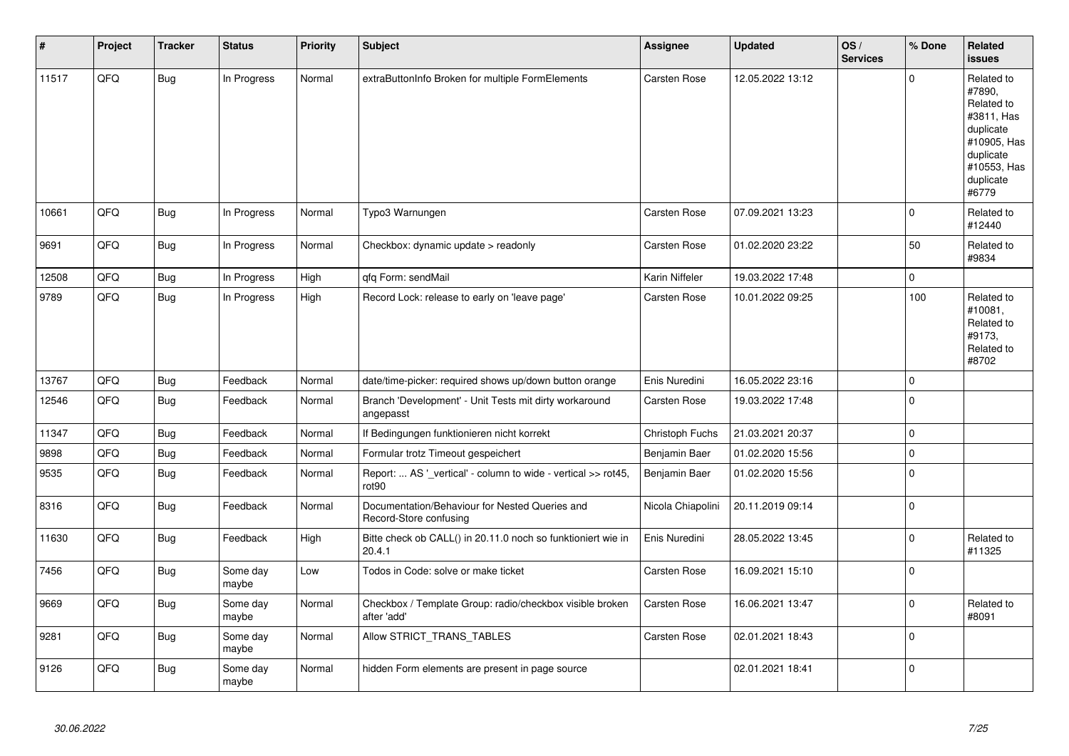| $\sharp$ | Project | <b>Tracker</b> | <b>Status</b>     | <b>Priority</b> | <b>Subject</b>                                                           | Assignee          | <b>Updated</b>   | OS/<br><b>Services</b> | % Done      | Related<br>issues                                                                                                              |
|----------|---------|----------------|-------------------|-----------------|--------------------------------------------------------------------------|-------------------|------------------|------------------------|-------------|--------------------------------------------------------------------------------------------------------------------------------|
| 11517    | QFQ     | Bug            | In Progress       | Normal          | extraButtonInfo Broken for multiple FormElements                         | Carsten Rose      | 12.05.2022 13:12 |                        | $\pmb{0}$   | Related to<br>#7890,<br>Related to<br>#3811, Has<br>duplicate<br>#10905, Has<br>duplicate<br>#10553, Has<br>duplicate<br>#6779 |
| 10661    | QFQ     | <b>Bug</b>     | In Progress       | Normal          | Typo3 Warnungen                                                          | Carsten Rose      | 07.09.2021 13:23 |                        | $\pmb{0}$   | Related to<br>#12440                                                                                                           |
| 9691     | QFQ     | <b>Bug</b>     | In Progress       | Normal          | Checkbox: dynamic update > readonly                                      | Carsten Rose      | 01.02.2020 23:22 |                        | 50          | Related to<br>#9834                                                                                                            |
| 12508    | QFQ     | <b>Bug</b>     | In Progress       | High            | qfq Form: sendMail                                                       | Karin Niffeler    | 19.03.2022 17:48 |                        | $\pmb{0}$   |                                                                                                                                |
| 9789     | QFQ     | Bug            | In Progress       | High            | Record Lock: release to early on 'leave page'                            | Carsten Rose      | 10.01.2022 09:25 |                        | 100         | Related to<br>#10081,<br>Related to<br>#9173,<br>Related to<br>#8702                                                           |
| 13767    | QFQ     | <b>Bug</b>     | Feedback          | Normal          | date/time-picker: required shows up/down button orange                   | Enis Nuredini     | 16.05.2022 23:16 |                        | $\pmb{0}$   |                                                                                                                                |
| 12546    | QFQ     | Bug            | Feedback          | Normal          | Branch 'Development' - Unit Tests mit dirty workaround<br>angepasst      | Carsten Rose      | 19.03.2022 17:48 |                        | $\pmb{0}$   |                                                                                                                                |
| 11347    | QFQ     | <b>Bug</b>     | Feedback          | Normal          | If Bedingungen funktionieren nicht korrekt                               | Christoph Fuchs   | 21.03.2021 20:37 |                        | $\pmb{0}$   |                                                                                                                                |
| 9898     | QFQ     | Bug            | Feedback          | Normal          | Formular trotz Timeout gespeichert                                       | Benjamin Baer     | 01.02.2020 15:56 |                        | $\pmb{0}$   |                                                                                                                                |
| 9535     | QFQ     | <b>Bug</b>     | Feedback          | Normal          | Report:  AS '_vertical' - column to wide - vertical >> rot45,<br>rot90   | Benjamin Baer     | 01.02.2020 15:56 |                        | $\pmb{0}$   |                                                                                                                                |
| 8316     | QFQ     | Bug            | Feedback          | Normal          | Documentation/Behaviour for Nested Queries and<br>Record-Store confusing | Nicola Chiapolini | 20.11.2019 09:14 |                        | $\pmb{0}$   |                                                                                                                                |
| 11630    | QFQ     | Bug            | Feedback          | High            | Bitte check ob CALL() in 20.11.0 noch so funktioniert wie in<br>20.4.1   | Enis Nuredini     | 28.05.2022 13:45 |                        | $\mathbf 0$ | Related to<br>#11325                                                                                                           |
| 7456     | QFQ     | Bug            | Some day<br>maybe | Low             | Todos in Code: solve or make ticket                                      | Carsten Rose      | 16.09.2021 15:10 |                        | $\pmb{0}$   |                                                                                                                                |
| 9669     | QFQ     | Bug            | Some day<br>maybe | Normal          | Checkbox / Template Group: radio/checkbox visible broken<br>after 'add'  | Carsten Rose      | 16.06.2021 13:47 |                        | $\mathbf 0$ | Related to<br>#8091                                                                                                            |
| 9281     | QFQ     | Bug            | Some day<br>maybe | Normal          | Allow STRICT_TRANS_TABLES                                                | Carsten Rose      | 02.01.2021 18:43 |                        | $\mathbf 0$ |                                                                                                                                |
| 9126     | QFQ     | <b>Bug</b>     | Some day<br>maybe | Normal          | hidden Form elements are present in page source                          |                   | 02.01.2021 18:41 |                        | $\mathbf 0$ |                                                                                                                                |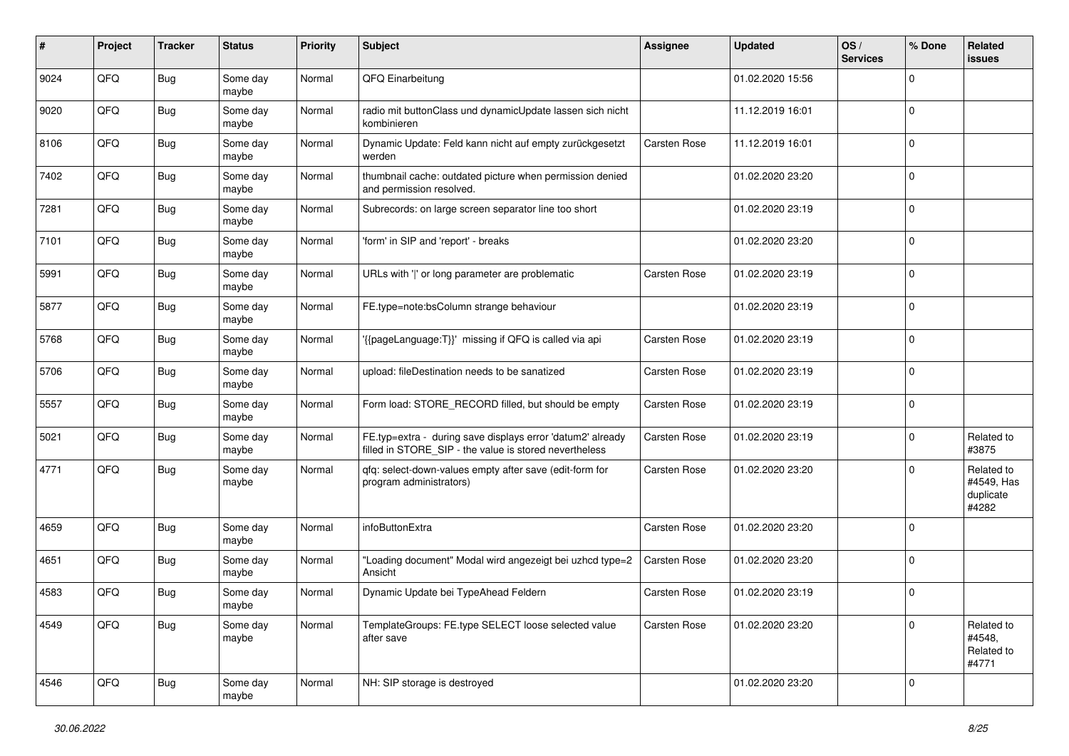| #    | Project | <b>Tracker</b> | <b>Status</b>     | <b>Priority</b> | <b>Subject</b>                                                                                                       | <b>Assignee</b> | <b>Updated</b>   | OS/<br><b>Services</b> | % Done      | Related<br>issues                              |
|------|---------|----------------|-------------------|-----------------|----------------------------------------------------------------------------------------------------------------------|-----------------|------------------|------------------------|-------------|------------------------------------------------|
| 9024 | QFQ     | <b>Bug</b>     | Some day<br>maybe | Normal          | QFQ Einarbeitung                                                                                                     |                 | 01.02.2020 15:56 |                        | 0           |                                                |
| 9020 | QFQ     | Bug            | Some day<br>maybe | Normal          | radio mit buttonClass und dynamicUpdate lassen sich nicht<br>kombinieren                                             |                 | 11.12.2019 16:01 |                        | $\mathbf 0$ |                                                |
| 8106 | QFQ     | Bug            | Some day<br>maybe | Normal          | Dynamic Update: Feld kann nicht auf empty zurückgesetzt<br>werden                                                    | Carsten Rose    | 11.12.2019 16:01 |                        | $\mathbf 0$ |                                                |
| 7402 | QFQ     | Bug            | Some day<br>maybe | Normal          | thumbnail cache: outdated picture when permission denied<br>and permission resolved.                                 |                 | 01.02.2020 23:20 |                        | 0           |                                                |
| 7281 | QFQ     | <b>Bug</b>     | Some day<br>maybe | Normal          | Subrecords: on large screen separator line too short                                                                 |                 | 01.02.2020 23:19 |                        | $\Omega$    |                                                |
| 7101 | QFQ     | Bug            | Some day<br>maybe | Normal          | 'form' in SIP and 'report' - breaks                                                                                  |                 | 01.02.2020 23:20 |                        | 0           |                                                |
| 5991 | QFQ     | Bug            | Some day<br>maybe | Normal          | URLs with ' ' or long parameter are problematic                                                                      | Carsten Rose    | 01.02.2020 23:19 |                        | $\mathbf 0$ |                                                |
| 5877 | QFQ     | Bug            | Some day<br>maybe | Normal          | FE.type=note:bsColumn strange behaviour                                                                              |                 | 01.02.2020 23:19 |                        | 0           |                                                |
| 5768 | QFQ     | Bug            | Some day<br>maybe | Normal          | '{{pageLanguage:T}}' missing if QFQ is called via api                                                                | Carsten Rose    | 01.02.2020 23:19 |                        | $\mathbf 0$ |                                                |
| 5706 | QFQ     | Bug            | Some day<br>maybe | Normal          | upload: fileDestination needs to be sanatized                                                                        | Carsten Rose    | 01.02.2020 23:19 |                        | 0           |                                                |
| 5557 | QFQ     | Bug            | Some day<br>maybe | Normal          | Form load: STORE_RECORD filled, but should be empty                                                                  | Carsten Rose    | 01.02.2020 23:19 |                        | 0           |                                                |
| 5021 | QFQ     | <b>Bug</b>     | Some day<br>maybe | Normal          | FE.typ=extra - during save displays error 'datum2' already<br>filled in STORE_SIP - the value is stored nevertheless | Carsten Rose    | 01.02.2020 23:19 |                        | $\mathbf 0$ | Related to<br>#3875                            |
| 4771 | QFQ     | <b>Bug</b>     | Some day<br>maybe | Normal          | qfq: select-down-values empty after save (edit-form for<br>program administrators)                                   | Carsten Rose    | 01.02.2020 23:20 |                        | 0           | Related to<br>#4549, Has<br>duplicate<br>#4282 |
| 4659 | QFQ     | <b>Bug</b>     | Some day<br>maybe | Normal          | infoButtonExtra                                                                                                      | Carsten Rose    | 01.02.2020 23:20 |                        | $\Omega$    |                                                |
| 4651 | QFQ     | Bug            | Some day<br>maybe | Normal          | "Loading document" Modal wird angezeigt bei uzhcd type=2<br>Ansicht                                                  | Carsten Rose    | 01.02.2020 23:20 |                        | $\mathbf 0$ |                                                |
| 4583 | QFQ     | <b>Bug</b>     | Some day<br>maybe | Normal          | Dynamic Update bei TypeAhead Feldern                                                                                 | Carsten Rose    | 01.02.2020 23:19 |                        | $\mathbf 0$ |                                                |
| 4549 | QFQ     | <b>Bug</b>     | Some day<br>maybe | Normal          | TemplateGroups: FE.type SELECT loose selected value<br>after save                                                    | Carsten Rose    | 01.02.2020 23:20 |                        | 0           | Related to<br>#4548,<br>Related to<br>#4771    |
| 4546 | QFQ     | <b>Bug</b>     | Some day<br>maybe | Normal          | NH: SIP storage is destroyed                                                                                         |                 | 01.02.2020 23:20 |                        | 0           |                                                |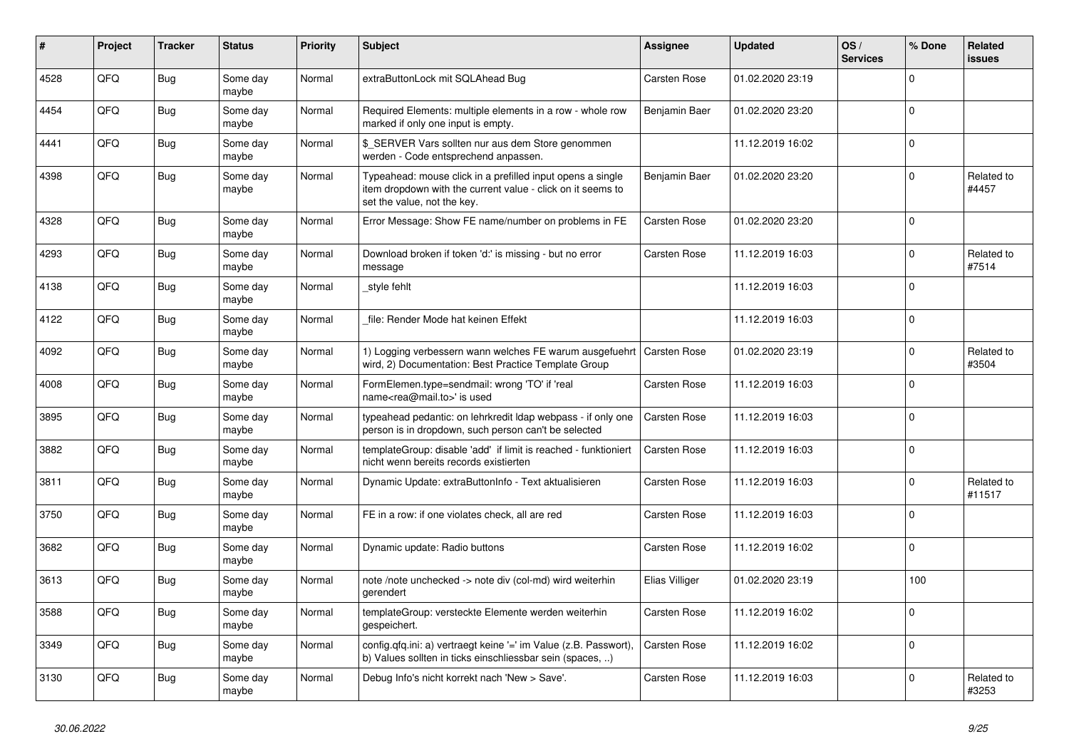| #    | Project | <b>Tracker</b> | <b>Status</b>     | <b>Priority</b> | <b>Subject</b>                                                                                                                                           | Assignee       | <b>Updated</b>   | OS/<br><b>Services</b> | % Done         | Related<br>issues    |
|------|---------|----------------|-------------------|-----------------|----------------------------------------------------------------------------------------------------------------------------------------------------------|----------------|------------------|------------------------|----------------|----------------------|
| 4528 | QFQ     | <b>Bug</b>     | Some day<br>maybe | Normal          | extraButtonLock mit SQLAhead Bug                                                                                                                         | Carsten Rose   | 01.02.2020 23:19 |                        | $\Omega$       |                      |
| 4454 | QFQ     | Bug            | Some day<br>maybe | Normal          | Required Elements: multiple elements in a row - whole row<br>marked if only one input is empty.                                                          | Benjamin Baer  | 01.02.2020 23:20 |                        | 0              |                      |
| 4441 | QFQ     | Bug            | Some day<br>maybe | Normal          | \$ SERVER Vars sollten nur aus dem Store genommen<br>werden - Code entsprechend anpassen.                                                                |                | 11.12.2019 16:02 |                        | $\Omega$       |                      |
| 4398 | QFQ     | Bug            | Some day<br>maybe | Normal          | Typeahead: mouse click in a prefilled input opens a single<br>item dropdown with the current value - click on it seems to<br>set the value, not the key. | Benjamin Baer  | 01.02.2020 23:20 |                        | $\Omega$       | Related to<br>#4457  |
| 4328 | QFQ     | Bug            | Some day<br>maybe | Normal          | Error Message: Show FE name/number on problems in FE                                                                                                     | Carsten Rose   | 01.02.2020 23:20 |                        | $\overline{0}$ |                      |
| 4293 | QFQ     | Bug            | Some day<br>maybe | Normal          | Download broken if token 'd:' is missing - but no error<br>message                                                                                       | Carsten Rose   | 11.12.2019 16:03 |                        | $\Omega$       | Related to<br>#7514  |
| 4138 | QFQ     | <b>Bug</b>     | Some day<br>maybe | Normal          | style fehlt                                                                                                                                              |                | 11.12.2019 16:03 |                        | $\Omega$       |                      |
| 4122 | QFQ     | Bug            | Some day<br>maybe | Normal          | file: Render Mode hat keinen Effekt                                                                                                                      |                | 11.12.2019 16:03 |                        | 0              |                      |
| 4092 | QFQ     | Bug            | Some day<br>maybe | Normal          | 1) Logging verbessern wann welches FE warum ausgefuehrt<br>wird, 2) Documentation: Best Practice Template Group                                          | Carsten Rose   | 01.02.2020 23:19 |                        | $\Omega$       | Related to<br>#3504  |
| 4008 | QFQ     | <b>Bug</b>     | Some day<br>maybe | Normal          | FormElemen.type=sendmail: wrong 'TO' if 'real<br>name <rea@mail.to>' is used</rea@mail.to>                                                               | Carsten Rose   | 11.12.2019 16:03 |                        | $\Omega$       |                      |
| 3895 | QFQ     | <b>Bug</b>     | Some day<br>maybe | Normal          | typeahead pedantic: on lehrkredit Idap webpass - if only one<br>person is in dropdown, such person can't be selected                                     | Carsten Rose   | 11.12.2019 16:03 |                        | $\Omega$       |                      |
| 3882 | QFQ     | <b>Bug</b>     | Some day<br>maybe | Normal          | templateGroup: disable 'add' if limit is reached - funktioniert<br>nicht wenn bereits records existierten                                                | Carsten Rose   | 11.12.2019 16:03 |                        | $\Omega$       |                      |
| 3811 | QFQ     | <b>Bug</b>     | Some day<br>maybe | Normal          | Dynamic Update: extraButtonInfo - Text aktualisieren                                                                                                     | Carsten Rose   | 11.12.2019 16:03 |                        | 0              | Related to<br>#11517 |
| 3750 | QFQ     | <b>Bug</b>     | Some day<br>maybe | Normal          | FE in a row: if one violates check, all are red                                                                                                          | Carsten Rose   | 11.12.2019 16:03 |                        | 0              |                      |
| 3682 | QFQ     | Bug            | Some day<br>maybe | Normal          | Dynamic update: Radio buttons                                                                                                                            | Carsten Rose   | 11.12.2019 16:02 |                        | $\Omega$       |                      |
| 3613 | QFQ     | <b>Bug</b>     | Some day<br>maybe | Normal          | note /note unchecked -> note div (col-md) wird weiterhin<br>gerendert                                                                                    | Elias Villiger | 01.02.2020 23:19 |                        | 100            |                      |
| 3588 | QFQ     | <b>Bug</b>     | Some day<br>maybe | Normal          | templateGroup: versteckte Elemente werden weiterhin<br>gespeichert.                                                                                      | Carsten Rose   | 11.12.2019 16:02 |                        | $\overline{0}$ |                      |
| 3349 | QFQ     | <b>Bug</b>     | Some day<br>maybe | Normal          | config.qfq.ini: a) vertraegt keine '=' im Value (z.B. Passwort),<br>b) Values sollten in ticks einschliessbar sein (spaces, )                            | Carsten Rose   | 11.12.2019 16:02 |                        | $\Omega$       |                      |
| 3130 | QFQ     | <b>Bug</b>     | Some day<br>maybe | Normal          | Debug Info's nicht korrekt nach 'New > Save'.                                                                                                            | Carsten Rose   | 11.12.2019 16:03 |                        | $\Omega$       | Related to<br>#3253  |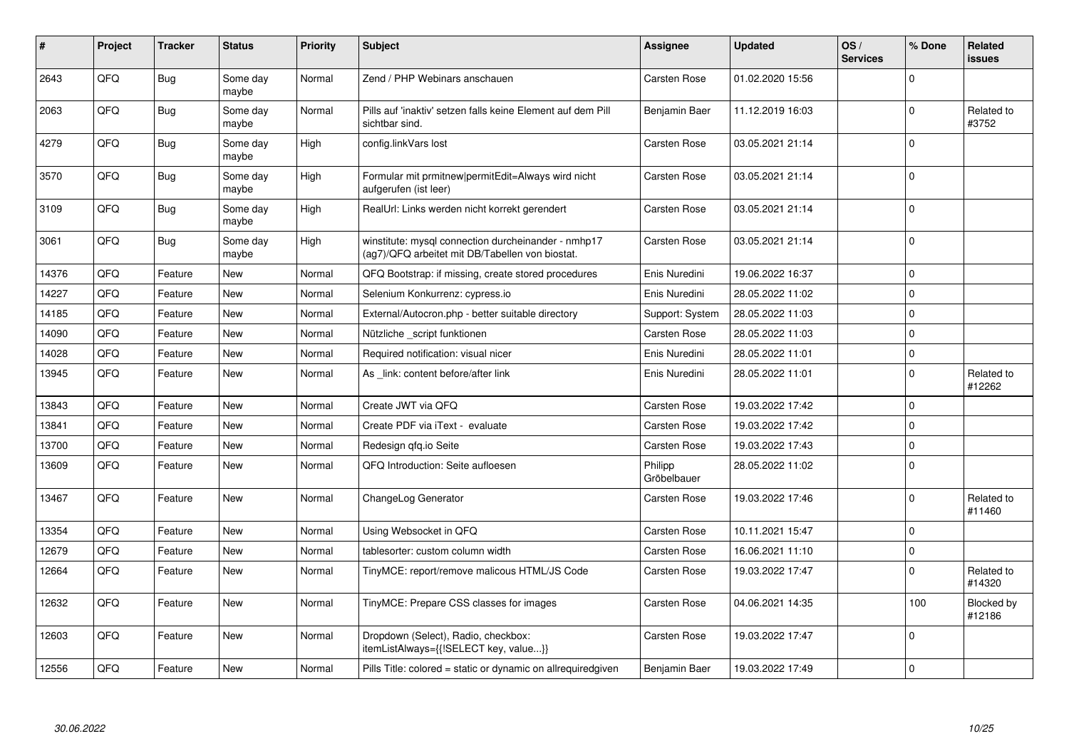| #     | Project | <b>Tracker</b> | <b>Status</b>     | <b>Priority</b> | <b>Subject</b>                                                                                         | <b>Assignee</b>        | <b>Updated</b>   | OS/<br><b>Services</b> | % Done      | Related<br><b>issues</b> |
|-------|---------|----------------|-------------------|-----------------|--------------------------------------------------------------------------------------------------------|------------------------|------------------|------------------------|-------------|--------------------------|
| 2643  | QFQ     | Bug            | Some day<br>maybe | Normal          | Zend / PHP Webinars anschauen                                                                          | Carsten Rose           | 01.02.2020 15:56 |                        | $\Omega$    |                          |
| 2063  | QFQ     | Bug            | Some day<br>maybe | Normal          | Pills auf 'inaktiv' setzen falls keine Element auf dem Pill<br>sichtbar sind.                          | Benjamin Baer          | 11.12.2019 16:03 |                        | $\Omega$    | Related to<br>#3752      |
| 4279  | QFQ     | Bug            | Some day<br>maybe | High            | config.linkVars lost                                                                                   | Carsten Rose           | 03.05.2021 21:14 |                        | $\Omega$    |                          |
| 3570  | QFO     | Bug            | Some day<br>maybe | High            | Formular mit prmitnew permitEdit=Always wird nicht<br>aufgerufen (ist leer)                            | Carsten Rose           | 03.05.2021 21:14 |                        | $\mathbf 0$ |                          |
| 3109  | QFQ     | Bug            | Some day<br>maybe | High            | RealUrl: Links werden nicht korrekt gerendert                                                          | Carsten Rose           | 03.05.2021 21:14 |                        | $\Omega$    |                          |
| 3061  | QFQ     | Bug            | Some day<br>maybe | High            | winstitute: mysql connection durcheinander - nmhp17<br>(ag7)/QFQ arbeitet mit DB/Tabellen von biostat. | Carsten Rose           | 03.05.2021 21:14 |                        | $\Omega$    |                          |
| 14376 | QFQ     | Feature        | New               | Normal          | QFQ Bootstrap: if missing, create stored procedures                                                    | Enis Nuredini          | 19.06.2022 16:37 |                        | $\Omega$    |                          |
| 14227 | QFQ     | Feature        | <b>New</b>        | Normal          | Selenium Konkurrenz: cypress.io                                                                        | Enis Nuredini          | 28.05.2022 11:02 |                        | $\Omega$    |                          |
| 14185 | QFQ     | Feature        | New               | Normal          | External/Autocron.php - better suitable directory                                                      | Support: System        | 28.05.2022 11:03 |                        | $\mathbf 0$ |                          |
| 14090 | QFQ     | Feature        | <b>New</b>        | Normal          | Nützliche _script funktionen                                                                           | Carsten Rose           | 28.05.2022 11:03 |                        | $\Omega$    |                          |
| 14028 | QFQ     | Feature        | <b>New</b>        | Normal          | Required notification: visual nicer                                                                    | Enis Nuredini          | 28.05.2022 11:01 |                        | $\mathbf 0$ |                          |
| 13945 | QFQ     | Feature        | <b>New</b>        | Normal          | As link: content before/after link                                                                     | Enis Nuredini          | 28.05.2022 11:01 |                        | $\Omega$    | Related to<br>#12262     |
| 13843 | QFQ     | Feature        | <b>New</b>        | Normal          | Create JWT via QFQ                                                                                     | Carsten Rose           | 19.03.2022 17:42 |                        | $\Omega$    |                          |
| 13841 | QFO     | Feature        | New               | Normal          | Create PDF via iText - evaluate                                                                        | Carsten Rose           | 19.03.2022 17:42 |                        | $\mathbf 0$ |                          |
| 13700 | QFQ     | Feature        | <b>New</b>        | Normal          | Redesign qfq.io Seite                                                                                  | Carsten Rose           | 19.03.2022 17:43 |                        | $\Omega$    |                          |
| 13609 | QFQ     | Feature        | <b>New</b>        | Normal          | QFQ Introduction: Seite aufloesen                                                                      | Philipp<br>Gröbelbauer | 28.05.2022 11:02 |                        | $\mathbf 0$ |                          |
| 13467 | QFQ     | Feature        | <b>New</b>        | Normal          | ChangeLog Generator                                                                                    | Carsten Rose           | 19.03.2022 17:46 |                        | $\Omega$    | Related to<br>#11460     |
| 13354 | QFQ     | Feature        | <b>New</b>        | Normal          | Using Websocket in QFQ                                                                                 | <b>Carsten Rose</b>    | 10.11.2021 15:47 |                        | $\Omega$    |                          |
| 12679 | QFQ     | Feature        | New               | Normal          | tablesorter: custom column width                                                                       | Carsten Rose           | 16.06.2021 11:10 |                        | $\pmb{0}$   |                          |
| 12664 | QFQ     | Feature        | <b>New</b>        | Normal          | TinyMCE: report/remove malicous HTML/JS Code                                                           | Carsten Rose           | 19.03.2022 17:47 |                        | $\Omega$    | Related to<br>#14320     |
| 12632 | QFQ     | Feature        | <b>New</b>        | Normal          | TinyMCE: Prepare CSS classes for images                                                                | Carsten Rose           | 04.06.2021 14:35 |                        | 100         | Blocked by<br>#12186     |
| 12603 | QFQ     | Feature        | <b>New</b>        | Normal          | Dropdown (Select), Radio, checkbox:<br>itemListAlways={{!SELECT key, value}}                           | Carsten Rose           | 19.03.2022 17:47 |                        | $\mathbf 0$ |                          |
| 12556 | QFQ     | Feature        | New               | Normal          | Pills Title: colored = static or dynamic on allrequiredgiven                                           | Benjamin Baer          | 19.03.2022 17:49 |                        | $\Omega$    |                          |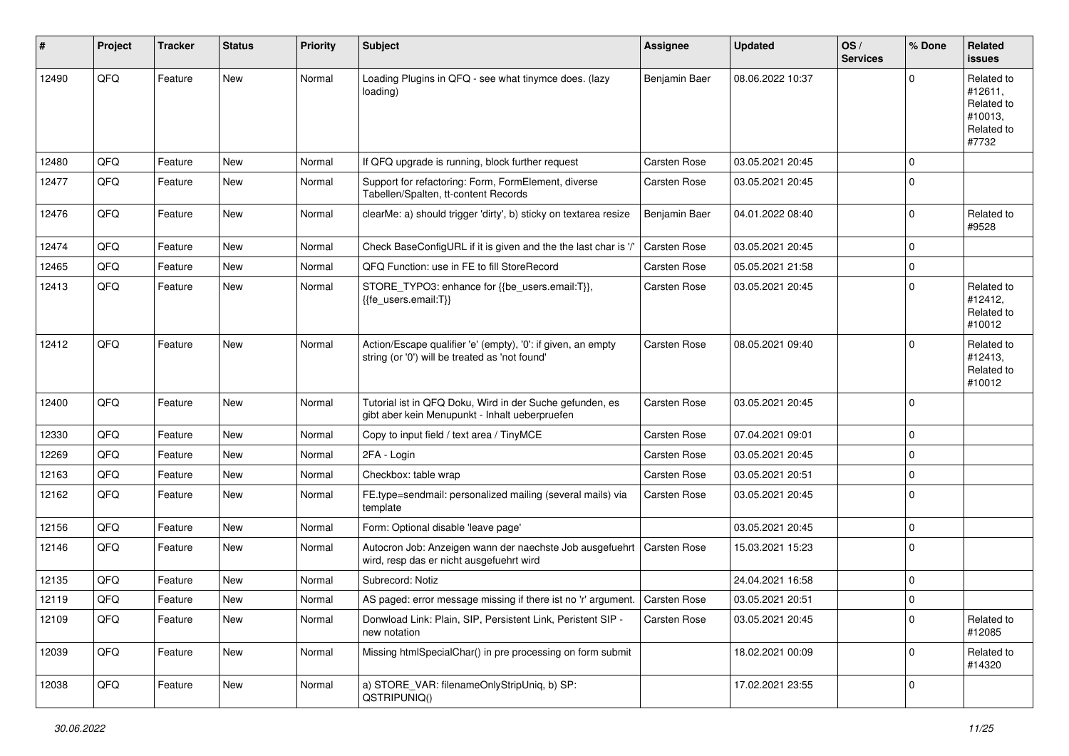| #     | Project | <b>Tracker</b> | <b>Status</b> | <b>Priority</b> | <b>Subject</b>                                                                                                 | <b>Assignee</b> | <b>Updated</b>   | OS/<br><b>Services</b> | % Done      | Related<br><b>issues</b>                                              |
|-------|---------|----------------|---------------|-----------------|----------------------------------------------------------------------------------------------------------------|-----------------|------------------|------------------------|-------------|-----------------------------------------------------------------------|
| 12490 | QFQ     | Feature        | New           | Normal          | Loading Plugins in QFQ - see what tinymce does. (lazy<br>loading)                                              | Benjamin Baer   | 08.06.2022 10:37 |                        | $\Omega$    | Related to<br>#12611,<br>Related to<br>#10013,<br>Related to<br>#7732 |
| 12480 | QFQ     | Feature        | <b>New</b>    | Normal          | If QFQ upgrade is running, block further request                                                               | Carsten Rose    | 03.05.2021 20:45 |                        | $\mathbf 0$ |                                                                       |
| 12477 | QFQ     | Feature        | New           | Normal          | Support for refactoring: Form, FormElement, diverse<br>Tabellen/Spalten, tt-content Records                    | Carsten Rose    | 03.05.2021 20:45 |                        | 0           |                                                                       |
| 12476 | QFQ     | Feature        | New           | Normal          | clearMe: a) should trigger 'dirty', b) sticky on textarea resize                                               | Benjamin Baer   | 04.01.2022 08:40 |                        | 0           | Related to<br>#9528                                                   |
| 12474 | QFQ     | Feature        | <b>New</b>    | Normal          | Check BaseConfigURL if it is given and the the last char is '/'                                                | Carsten Rose    | 03.05.2021 20:45 |                        | $\mathbf 0$ |                                                                       |
| 12465 | QFQ     | Feature        | New           | Normal          | QFQ Function: use in FE to fill StoreRecord                                                                    | Carsten Rose    | 05.05.2021 21:58 |                        | 0           |                                                                       |
| 12413 | QFQ     | Feature        | New           | Normal          | STORE_TYPO3: enhance for {{be_users.email:T}},<br>{{fe_users.email:T}}                                         | Carsten Rose    | 03.05.2021 20:45 |                        | $\mathbf 0$ | Related to<br>#12412,<br>Related to<br>#10012                         |
| 12412 | QFQ     | Feature        | New           | Normal          | Action/Escape qualifier 'e' (empty), '0': if given, an empty<br>string (or '0') will be treated as 'not found' | Carsten Rose    | 08.05.2021 09:40 |                        | $\Omega$    | Related to<br>#12413,<br>Related to<br>#10012                         |
| 12400 | QFQ     | Feature        | New           | Normal          | Tutorial ist in QFQ Doku, Wird in der Suche gefunden, es<br>gibt aber kein Menupunkt - Inhalt ueberpruefen     | Carsten Rose    | 03.05.2021 20:45 |                        | $\Omega$    |                                                                       |
| 12330 | QFQ     | Feature        | New           | Normal          | Copy to input field / text area / TinyMCE                                                                      | Carsten Rose    | 07.04.2021 09:01 |                        | 0           |                                                                       |
| 12269 | QFQ     | Feature        | New           | Normal          | 2FA - Login                                                                                                    | Carsten Rose    | 03.05.2021 20:45 |                        | $\Omega$    |                                                                       |
| 12163 | QFQ     | Feature        | New           | Normal          | Checkbox: table wrap                                                                                           | Carsten Rose    | 03.05.2021 20:51 |                        | $\mathbf 0$ |                                                                       |
| 12162 | QFQ     | Feature        | New           | Normal          | FE.type=sendmail: personalized mailing (several mails) via<br>template                                         | Carsten Rose    | 03.05.2021 20:45 |                        | $\Omega$    |                                                                       |
| 12156 | QFQ     | Feature        | <b>New</b>    | Normal          | Form: Optional disable 'leave page'                                                                            |                 | 03.05.2021 20:45 |                        | 0           |                                                                       |
| 12146 | QFQ     | Feature        | New           | Normal          | Autocron Job: Anzeigen wann der naechste Job ausgefuehrt<br>wird, resp das er nicht ausgefuehrt wird           | Carsten Rose    | 15.03.2021 15:23 |                        | $\mathbf 0$ |                                                                       |
| 12135 | QFQ     | Feature        | New           | Normal          | Subrecord: Notiz                                                                                               |                 | 24.04.2021 16:58 |                        | 0           |                                                                       |
| 12119 | QFQ     | Feature        | New           | Normal          | AS paged: error message missing if there ist no 'r' argument.   Carsten Rose                                   |                 | 03.05.2021 20:51 |                        | $\mathbf 0$ |                                                                       |
| 12109 | QFQ     | Feature        | New           | Normal          | Donwload Link: Plain, SIP, Persistent Link, Peristent SIP -<br>new notation                                    | Carsten Rose    | 03.05.2021 20:45 |                        | 0           | Related to<br>#12085                                                  |
| 12039 | QFQ     | Feature        | New           | Normal          | Missing htmlSpecialChar() in pre processing on form submit                                                     |                 | 18.02.2021 00:09 |                        | $\mathbf 0$ | Related to<br>#14320                                                  |
| 12038 | QFQ     | Feature        | New           | Normal          | a) STORE VAR: filenameOnlyStripUnig. b) SP:<br>QSTRIPUNIQ()                                                    |                 | 17.02.2021 23:55 |                        | 0           |                                                                       |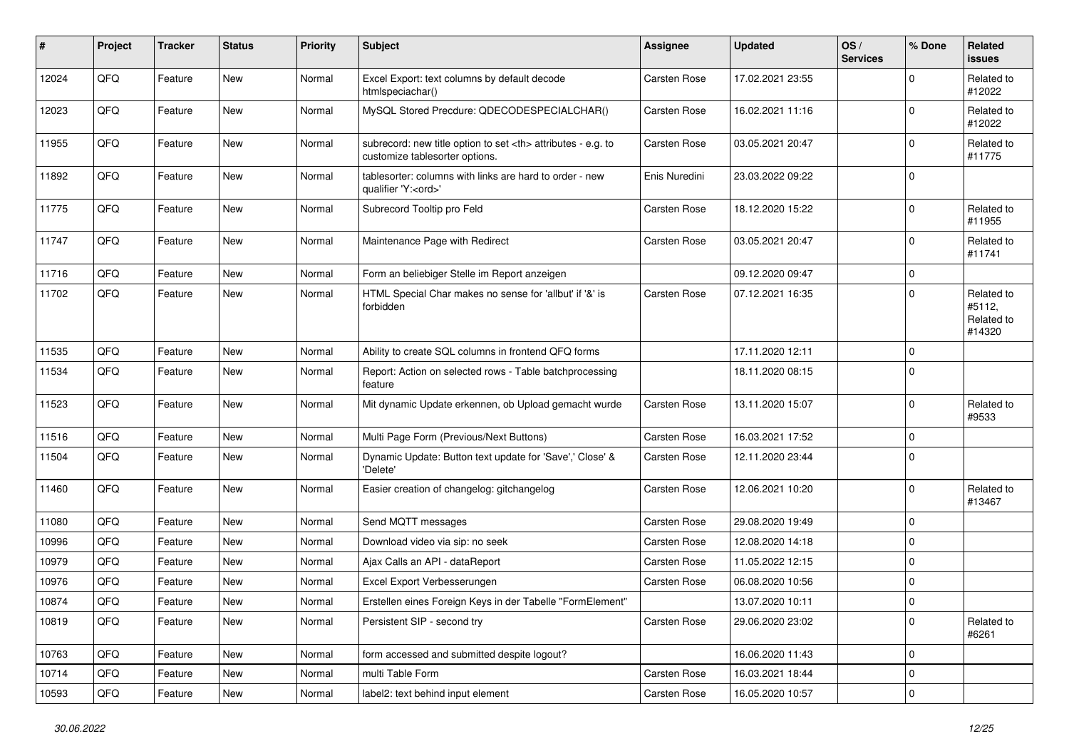| $\pmb{\#}$ | Project | <b>Tracker</b> | <b>Status</b> | <b>Priority</b> | <b>Subject</b>                                                                                       | <b>Assignee</b>                                        | <b>Updated</b>   | OS/<br><b>Services</b> | % Done      | Related<br>issues                            |                      |
|------------|---------|----------------|---------------|-----------------|------------------------------------------------------------------------------------------------------|--------------------------------------------------------|------------------|------------------------|-------------|----------------------------------------------|----------------------|
| 12024      | QFQ     | Feature        | New           | Normal          | Excel Export: text columns by default decode<br>htmlspeciachar()                                     | Carsten Rose                                           | 17.02.2021 23:55 |                        | $\mathbf 0$ | Related to<br>#12022                         |                      |
| 12023      | QFQ     | Feature        | New           | Normal          | MySQL Stored Precdure: QDECODESPECIALCHAR()                                                          | Carsten Rose                                           | 16.02.2021 11:16 |                        | $\Omega$    | Related to<br>#12022                         |                      |
| 11955      | QFQ     | Feature        | <b>New</b>    | Normal          | subrecord: new title option to set <th> attributes - e.g. to<br/>customize tablesorter options.</th> | attributes - e.g. to<br>customize tablesorter options. | Carsten Rose     | 03.05.2021 20:47       |             | 0                                            | Related to<br>#11775 |
| 11892      | QFQ     | Feature        | New           | Normal          | tablesorter: columns with links are hard to order - new<br>qualifier 'Y: <ord>'</ord>                | Enis Nuredini                                          | 23.03.2022 09:22 |                        | $\mathbf 0$ |                                              |                      |
| 11775      | QFQ     | Feature        | New           | Normal          | Subrecord Tooltip pro Feld                                                                           | Carsten Rose                                           | 18.12.2020 15:22 |                        | $\mathbf 0$ | Related to<br>#11955                         |                      |
| 11747      | QFQ     | Feature        | <b>New</b>    | Normal          | Maintenance Page with Redirect                                                                       | Carsten Rose                                           | 03.05.2021 20:47 |                        | 0           | Related to<br>#11741                         |                      |
| 11716      | QFQ     | Feature        | New           | Normal          | Form an beliebiger Stelle im Report anzeigen                                                         |                                                        | 09.12.2020 09:47 |                        | 0           |                                              |                      |
| 11702      | QFQ     | Feature        | New           | Normal          | HTML Special Char makes no sense for 'allbut' if '&' is<br>forbidden                                 | Carsten Rose                                           | 07.12.2021 16:35 |                        | $\Omega$    | Related to<br>#5112,<br>Related to<br>#14320 |                      |
| 11535      | QFQ     | Feature        | <b>New</b>    | Normal          | Ability to create SQL columns in frontend QFQ forms                                                  |                                                        | 17.11.2020 12:11 |                        | 0           |                                              |                      |
| 11534      | QFQ     | Feature        | New           | Normal          | Report: Action on selected rows - Table batchprocessing<br>feature                                   |                                                        | 18.11.2020 08:15 |                        | $\Omega$    |                                              |                      |
| 11523      | QFQ     | Feature        | New           | Normal          | Mit dynamic Update erkennen, ob Upload gemacht wurde                                                 | Carsten Rose                                           | 13.11.2020 15:07 |                        | $\mathbf 0$ | Related to<br>#9533                          |                      |
| 11516      | QFQ     | Feature        | New           | Normal          | Multi Page Form (Previous/Next Buttons)                                                              | Carsten Rose                                           | 16.03.2021 17:52 |                        | 0           |                                              |                      |
| 11504      | QFQ     | Feature        | New           | Normal          | Dynamic Update: Button text update for 'Save',' Close' &<br>'Delete'                                 | Carsten Rose                                           | 12.11.2020 23:44 |                        | $\Omega$    |                                              |                      |
| 11460      | QFQ     | Feature        | New           | Normal          | Easier creation of changelog: gitchangelog                                                           | Carsten Rose                                           | 12.06.2021 10:20 |                        | $\Omega$    | Related to<br>#13467                         |                      |
| 11080      | QFQ     | Feature        | New           | Normal          | Send MQTT messages                                                                                   | Carsten Rose                                           | 29.08.2020 19:49 |                        | $\mathbf 0$ |                                              |                      |
| 10996      | QFQ     | Feature        | <b>New</b>    | Normal          | Download video via sip: no seek                                                                      | Carsten Rose                                           | 12.08.2020 14:18 |                        | 0           |                                              |                      |
| 10979      | QFQ     | Feature        | New           | Normal          | Ajax Calls an API - dataReport                                                                       | Carsten Rose                                           | 11.05.2022 12:15 |                        | $\Omega$    |                                              |                      |
| 10976      | QFQ     | Feature        | <b>New</b>    | Normal          | Excel Export Verbesserungen                                                                          | Carsten Rose                                           | 06.08.2020 10:56 |                        | $\mathbf 0$ |                                              |                      |
| 10874      | QFQ     | Feature        | New           | Normal          | Erstellen eines Foreign Keys in der Tabelle "FormElement"                                            |                                                        | 13.07.2020 10:11 |                        | $\mathbf 0$ |                                              |                      |
| 10819      | QFQ     | Feature        | New           | Normal          | Persistent SIP - second try                                                                          | Carsten Rose                                           | 29.06.2020 23:02 |                        | $\mathbf 0$ | Related to<br>#6261                          |                      |
| 10763      | QFQ     | Feature        | <b>New</b>    | Normal          | form accessed and submitted despite logout?                                                          |                                                        | 16.06.2020 11:43 |                        | 0           |                                              |                      |
| 10714      | QFQ     | Feature        | New           | Normal          | multi Table Form                                                                                     | Carsten Rose                                           | 16.03.2021 18:44 |                        | 0           |                                              |                      |
| 10593      | QFQ     | Feature        | New           | Normal          | label2: text behind input element                                                                    | Carsten Rose                                           | 16.05.2020 10:57 |                        | $\pmb{0}$   |                                              |                      |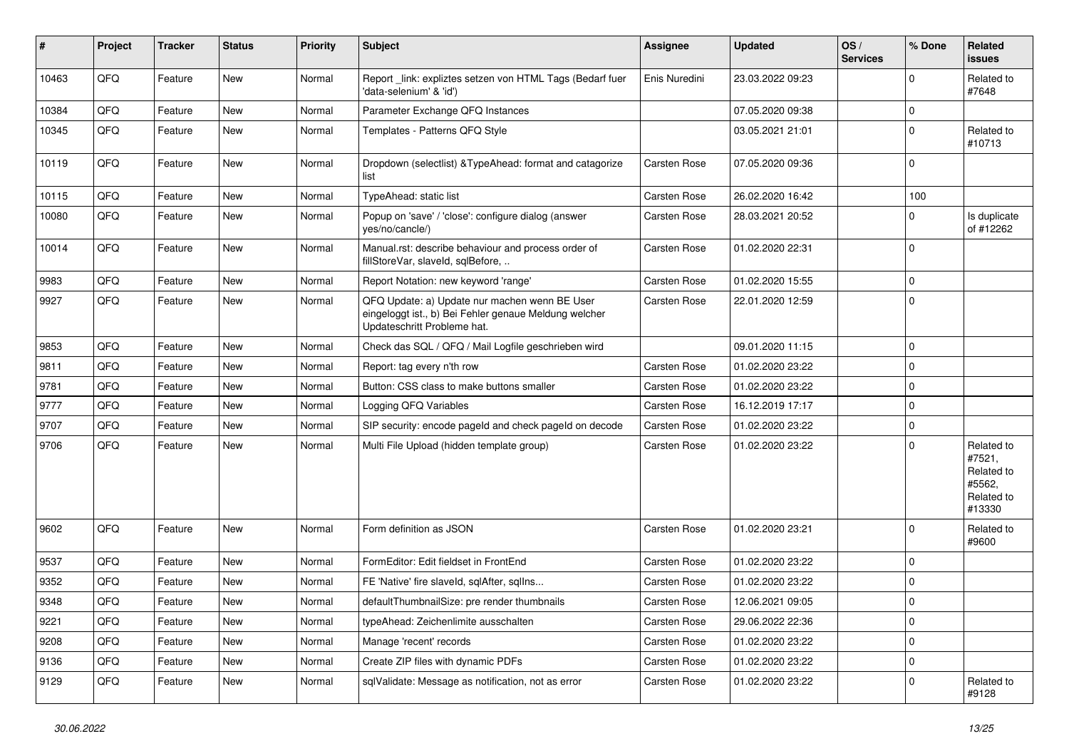| #     | Project | <b>Tracker</b> | <b>Status</b> | <b>Priority</b> | <b>Subject</b>                                                                                                                        | <b>Assignee</b> | <b>Updated</b>   | OS/<br><b>Services</b> | % Done      | Related<br><b>issues</b>                                             |
|-------|---------|----------------|---------------|-----------------|---------------------------------------------------------------------------------------------------------------------------------------|-----------------|------------------|------------------------|-------------|----------------------------------------------------------------------|
| 10463 | QFQ     | Feature        | New           | Normal          | Report link: expliztes setzen von HTML Tags (Bedarf fuer<br>'data-selenium' & 'id')                                                   | Enis Nuredini   | 23.03.2022 09:23 |                        | 0           | Related to<br>#7648                                                  |
| 10384 | QFQ     | Feature        | New           | Normal          | Parameter Exchange QFQ Instances                                                                                                      |                 | 07.05.2020 09:38 |                        | $\mathbf 0$ |                                                                      |
| 10345 | QFQ     | Feature        | New           | Normal          | Templates - Patterns QFQ Style                                                                                                        |                 | 03.05.2021 21:01 |                        | $\mathbf 0$ | Related to<br>#10713                                                 |
| 10119 | QFQ     | Feature        | New           | Normal          | Dropdown (selectlist) & TypeAhead: format and catagorize<br>list                                                                      | Carsten Rose    | 07.05.2020 09:36 |                        | $\Omega$    |                                                                      |
| 10115 | QFQ     | Feature        | <b>New</b>    | Normal          | TypeAhead: static list                                                                                                                | Carsten Rose    | 26.02.2020 16:42 |                        | 100         |                                                                      |
| 10080 | QFQ     | Feature        | New           | Normal          | Popup on 'save' / 'close': configure dialog (answer<br>yes/no/cancle/)                                                                | Carsten Rose    | 28.03.2021 20:52 |                        | $\Omega$    | Is duplicate<br>of #12262                                            |
| 10014 | QFQ     | Feature        | <b>New</b>    | Normal          | Manual.rst: describe behaviour and process order of<br>fillStoreVar, slaveld, sqlBefore,                                              | Carsten Rose    | 01.02.2020 22:31 |                        | $\Omega$    |                                                                      |
| 9983  | QFQ     | Feature        | <b>New</b>    | Normal          | Report Notation: new keyword 'range'                                                                                                  | Carsten Rose    | 01.02.2020 15:55 |                        | $\mathbf 0$ |                                                                      |
| 9927  | QFQ     | Feature        | New           | Normal          | QFQ Update: a) Update nur machen wenn BE User<br>eingeloggt ist., b) Bei Fehler genaue Meldung welcher<br>Updateschritt Probleme hat. | Carsten Rose    | 22.01.2020 12:59 |                        | $\Omega$    |                                                                      |
| 9853  | QFQ     | Feature        | <b>New</b>    | Normal          | Check das SQL / QFQ / Mail Logfile geschrieben wird                                                                                   |                 | 09.01.2020 11:15 |                        | $\Omega$    |                                                                      |
| 9811  | QFQ     | Feature        | New           | Normal          | Report: tag every n'th row                                                                                                            | Carsten Rose    | 01.02.2020 23:22 |                        | $\mathbf 0$ |                                                                      |
| 9781  | QFQ     | Feature        | <b>New</b>    | Normal          | Button: CSS class to make buttons smaller                                                                                             | Carsten Rose    | 01.02.2020 23:22 |                        | $\Omega$    |                                                                      |
| 9777  | QFQ     | Feature        | New           | Normal          | Logging QFQ Variables                                                                                                                 | Carsten Rose    | 16.12.2019 17:17 |                        | $\mathbf 0$ |                                                                      |
| 9707  | QFQ     | Feature        | New           | Normal          | SIP security: encode pageld and check pageld on decode                                                                                | Carsten Rose    | 01.02.2020 23:22 |                        | $\mathbf 0$ |                                                                      |
| 9706  | QFQ     | Feature        | New           | Normal          | Multi File Upload (hidden template group)                                                                                             | Carsten Rose    | 01.02.2020 23:22 |                        | $\Omega$    | Related to<br>#7521,<br>Related to<br>#5562,<br>Related to<br>#13330 |
| 9602  | QFQ     | Feature        | New           | Normal          | Form definition as JSON                                                                                                               | Carsten Rose    | 01.02.2020 23:21 |                        | $\Omega$    | Related to<br>#9600                                                  |
| 9537  | QFQ     | Feature        | New           | Normal          | FormEditor: Edit fieldset in FrontEnd                                                                                                 | Carsten Rose    | 01.02.2020 23:22 |                        | $\Omega$    |                                                                      |
| 9352  | QFQ     | Feature        | New           | Normal          | FE 'Native' fire slaveld, sqlAfter, sqlIns                                                                                            | Carsten Rose    | 01.02.2020 23:22 |                        | $\mathbf 0$ |                                                                      |
| 9348  | QFQ     | Feature        | <b>New</b>    | Normal          | defaultThumbnailSize: pre render thumbnails                                                                                           | Carsten Rose    | 12.06.2021 09:05 |                        | $\mathbf 0$ |                                                                      |
| 9221  | QFQ     | Feature        | New           | Normal          | typeAhead: Zeichenlimite ausschalten                                                                                                  | Carsten Rose    | 29.06.2022 22:36 |                        | 0           |                                                                      |
| 9208  | QFQ     | Feature        | New           | Normal          | Manage 'recent' records                                                                                                               | Carsten Rose    | 01.02.2020 23:22 |                        | 0           |                                                                      |
| 9136  | QFQ     | Feature        | New           | Normal          | Create ZIP files with dynamic PDFs                                                                                                    | Carsten Rose    | 01.02.2020 23:22 |                        | 0           |                                                                      |
| 9129  | QFQ     | Feature        | New           | Normal          | sqlValidate: Message as notification, not as error                                                                                    | Carsten Rose    | 01.02.2020 23:22 |                        | 0           | Related to<br>#9128                                                  |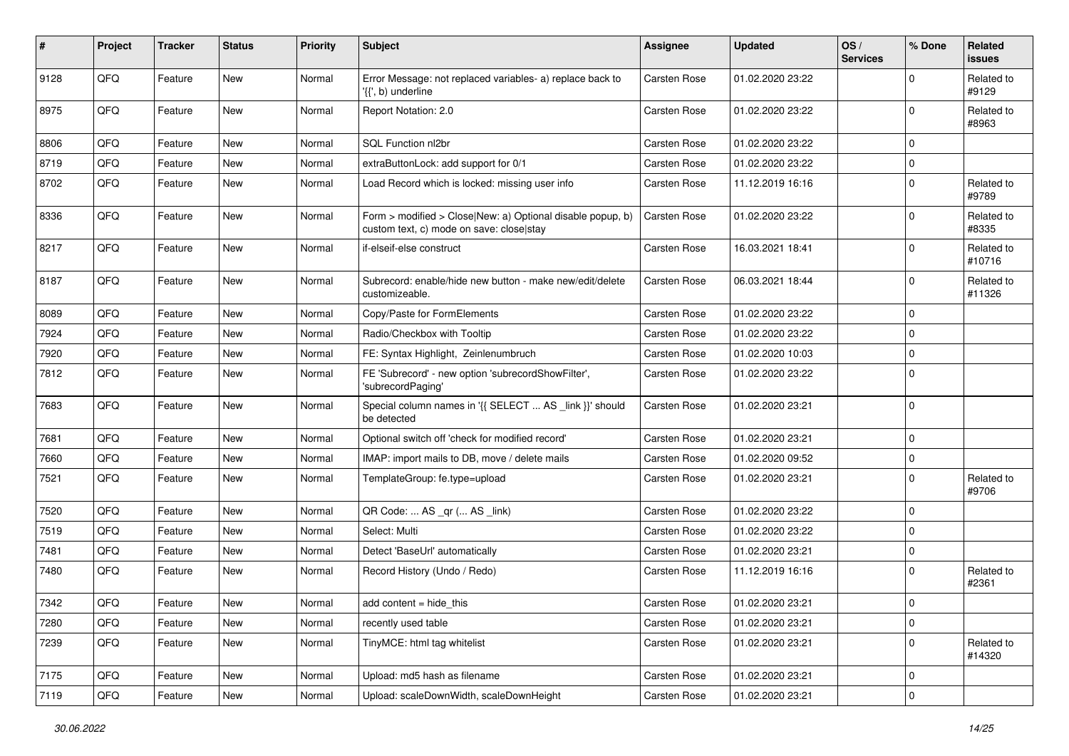| #    | Project | <b>Tracker</b> | <b>Status</b> | <b>Priority</b> | <b>Subject</b>                                                                                         | <b>Assignee</b> | <b>Updated</b>   | OS/<br><b>Services</b> | % Done                  | Related<br>issues    |
|------|---------|----------------|---------------|-----------------|--------------------------------------------------------------------------------------------------------|-----------------|------------------|------------------------|-------------------------|----------------------|
| 9128 | QFQ     | Feature        | <b>New</b>    | Normal          | Error Message: not replaced variables- a) replace back to<br>'{{', b) underline                        | Carsten Rose    | 01.02.2020 23:22 |                        | 0                       | Related to<br>#9129  |
| 8975 | QFQ     | Feature        | New           | Normal          | Report Notation: 2.0                                                                                   | Carsten Rose    | 01.02.2020 23:22 |                        | $\mathbf 0$             | Related to<br>#8963  |
| 8806 | QFQ     | Feature        | <b>New</b>    | Normal          | SQL Function nl2br                                                                                     | Carsten Rose    | 01.02.2020 23:22 |                        | $\mathbf 0$             |                      |
| 8719 | QFQ     | Feature        | New           | Normal          | extraButtonLock: add support for 0/1                                                                   | Carsten Rose    | 01.02.2020 23:22 |                        | $\mathbf 0$             |                      |
| 8702 | QFQ     | Feature        | New           | Normal          | Load Record which is locked: missing user info                                                         | Carsten Rose    | 11.12.2019 16:16 |                        | $\mathbf 0$             | Related to<br>#9789  |
| 8336 | QFQ     | Feature        | New           | Normal          | Form > modified > Close New: a) Optional disable popup, b)<br>custom text, c) mode on save: close stay | Carsten Rose    | 01.02.2020 23:22 |                        | 0                       | Related to<br>#8335  |
| 8217 | QFQ     | Feature        | New           | Normal          | if-elseif-else construct                                                                               | Carsten Rose    | 16.03.2021 18:41 |                        | 0                       | Related to<br>#10716 |
| 8187 | QFQ     | Feature        | New           | Normal          | Subrecord: enable/hide new button - make new/edit/delete<br>customizeable.                             | Carsten Rose    | 06.03.2021 18:44 |                        | $\mathbf 0$             | Related to<br>#11326 |
| 8089 | QFQ     | Feature        | <b>New</b>    | Normal          | Copy/Paste for FormElements                                                                            | Carsten Rose    | 01.02.2020 23:22 |                        | 0                       |                      |
| 7924 | QFQ     | Feature        | New           | Normal          | Radio/Checkbox with Tooltip                                                                            | Carsten Rose    | 01.02.2020 23:22 |                        | $\mathbf 0$             |                      |
| 7920 | QFQ     | Feature        | New           | Normal          | FE: Syntax Highlight, Zeinlenumbruch                                                                   | Carsten Rose    | 01.02.2020 10:03 |                        | $\mathbf 0$             |                      |
| 7812 | QFQ     | Feature        | New           | Normal          | FE 'Subrecord' - new option 'subrecordShowFilter',<br>'subrecordPaging'                                | Carsten Rose    | 01.02.2020 23:22 |                        | 0                       |                      |
| 7683 | QFQ     | Feature        | <b>New</b>    | Normal          | Special column names in '{{ SELECT  AS _link }}' should<br>be detected                                 | Carsten Rose    | 01.02.2020 23:21 |                        | $\mathbf 0$             |                      |
| 7681 | QFQ     | Feature        | New           | Normal          | Optional switch off 'check for modified record'                                                        | Carsten Rose    | 01.02.2020 23:21 |                        | $\pmb{0}$               |                      |
| 7660 | QFQ     | Feature        | New           | Normal          | IMAP: import mails to DB, move / delete mails                                                          | Carsten Rose    | 01.02.2020 09:52 |                        | 0                       |                      |
| 7521 | QFQ     | Feature        | New           | Normal          | TemplateGroup: fe.type=upload                                                                          | Carsten Rose    | 01.02.2020 23:21 |                        | $\mathbf 0$             | Related to<br>#9706  |
| 7520 | QFQ     | Feature        | New           | Normal          | QR Code:  AS _qr ( AS _link)                                                                           | Carsten Rose    | 01.02.2020 23:22 |                        | $\mathbf 0$             |                      |
| 7519 | QFQ     | Feature        | New           | Normal          | Select: Multi                                                                                          | Carsten Rose    | 01.02.2020 23:22 |                        | $\Omega$                |                      |
| 7481 | QFQ     | Feature        | New           | Normal          | Detect 'BaseUrl' automatically                                                                         | Carsten Rose    | 01.02.2020 23:21 |                        | $\mathbf 0$             |                      |
| 7480 | QFQ     | Feature        | New           | Normal          | Record History (Undo / Redo)                                                                           | Carsten Rose    | 11.12.2019 16:16 |                        | $\mathbf 0$             | Related to<br>#2361  |
| 7342 | QFQ     | Feature        | New           | Normal          | add content = hide_this                                                                                | Carsten Rose    | 01.02.2020 23:21 |                        | $\pmb{0}$               |                      |
| 7280 | QFQ     | Feature        | New           | Normal          | recently used table                                                                                    | Carsten Rose    | 01.02.2020 23:21 |                        | $\mathbf 0$             |                      |
| 7239 | QFQ     | Feature        | New           | Normal          | TinyMCE: html tag whitelist                                                                            | Carsten Rose    | 01.02.2020 23:21 |                        | $\mathbf 0$             | Related to<br>#14320 |
| 7175 | QFQ     | Feature        | New           | Normal          | Upload: md5 hash as filename                                                                           | Carsten Rose    | 01.02.2020 23:21 |                        | $\mathbf 0$             |                      |
| 7119 | QFQ     | Feature        | New           | Normal          | Upload: scaleDownWidth, scaleDownHeight                                                                | Carsten Rose    | 01.02.2020 23:21 |                        | $\overline{\mathbf{0}}$ |                      |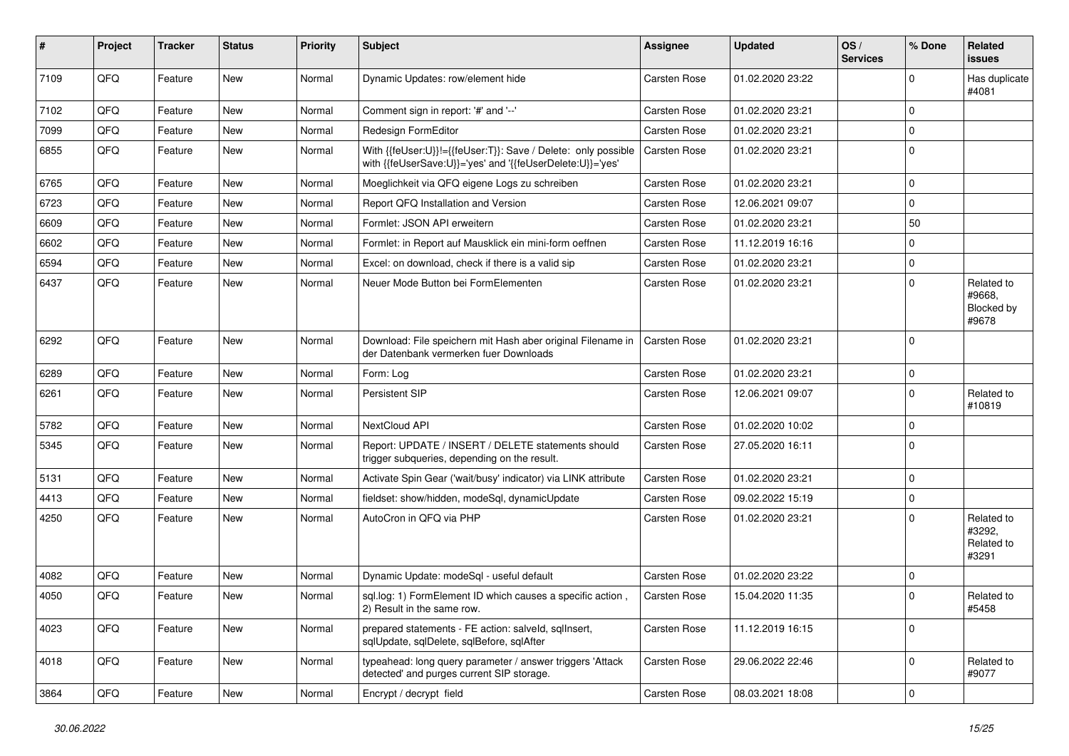| #    | Project | <b>Tracker</b> | <b>Status</b> | <b>Priority</b> | <b>Subject</b>                                                                                                             | <b>Assignee</b> | <b>Updated</b>   | OS/<br><b>Services</b> | % Done      | Related<br>issues                           |
|------|---------|----------------|---------------|-----------------|----------------------------------------------------------------------------------------------------------------------------|-----------------|------------------|------------------------|-------------|---------------------------------------------|
| 7109 | QFQ     | Feature        | New           | Normal          | Dynamic Updates: row/element hide                                                                                          | Carsten Rose    | 01.02.2020 23:22 |                        | 0           | Has duplicate<br>#4081                      |
| 7102 | QFQ     | Feature        | <b>New</b>    | Normal          | Comment sign in report: '#' and '--'                                                                                       | Carsten Rose    | 01.02.2020 23:21 |                        | $\mathbf 0$ |                                             |
| 7099 | QFQ     | Feature        | <b>New</b>    | Normal          | Redesign FormEditor                                                                                                        | Carsten Rose    | 01.02.2020 23:21 |                        | 0           |                                             |
| 6855 | QFQ     | Feature        | New           | Normal          | With {{feUser:U}}!={{feUser:T}}: Save / Delete: only possible<br>with {{feUserSave:U}}='yes' and '{{feUserDelete:U}}='yes' | Carsten Rose    | 01.02.2020 23:21 |                        | $\mathbf 0$ |                                             |
| 6765 | QFQ     | Feature        | <b>New</b>    | Normal          | Moeglichkeit via QFQ eigene Logs zu schreiben                                                                              | Carsten Rose    | 01.02.2020 23:21 |                        | 0           |                                             |
| 6723 | QFQ     | Feature        | <b>New</b>    | Normal          | Report QFQ Installation and Version                                                                                        | Carsten Rose    | 12.06.2021 09:07 |                        | 0           |                                             |
| 6609 | QFQ     | Feature        | <b>New</b>    | Normal          | Formlet: JSON API erweitern                                                                                                | Carsten Rose    | 01.02.2020 23:21 |                        | 50          |                                             |
| 6602 | QFQ     | Feature        | <b>New</b>    | Normal          | Formlet: in Report auf Mausklick ein mini-form oeffnen                                                                     | Carsten Rose    | 11.12.2019 16:16 |                        | 0           |                                             |
| 6594 | QFQ     | Feature        | New           | Normal          | Excel: on download, check if there is a valid sip                                                                          | Carsten Rose    | 01.02.2020 23:21 |                        | $\pmb{0}$   |                                             |
| 6437 | QFQ     | Feature        | <b>New</b>    | Normal          | Neuer Mode Button bei FormElementen                                                                                        | Carsten Rose    | 01.02.2020 23:21 |                        | $\Omega$    | Related to<br>#9668.<br>Blocked by<br>#9678 |
| 6292 | QFQ     | Feature        | <b>New</b>    | Normal          | Download: File speichern mit Hash aber original Filename in<br>der Datenbank vermerken fuer Downloads                      | Carsten Rose    | 01.02.2020 23:21 |                        | $\Omega$    |                                             |
| 6289 | QFQ     | Feature        | New           | Normal          | Form: Log                                                                                                                  | Carsten Rose    | 01.02.2020 23:21 |                        | $\pmb{0}$   |                                             |
| 6261 | QFQ     | Feature        | New           | Normal          | Persistent SIP                                                                                                             | Carsten Rose    | 12.06.2021 09:07 |                        | $\mathbf 0$ | Related to<br>#10819                        |
| 5782 | QFQ     | Feature        | New           | Normal          | NextCloud API                                                                                                              | Carsten Rose    | 01.02.2020 10:02 |                        | 0           |                                             |
| 5345 | QFQ     | Feature        | New           | Normal          | Report: UPDATE / INSERT / DELETE statements should<br>trigger subqueries, depending on the result.                         | Carsten Rose    | 27.05.2020 16:11 |                        | $\mathbf 0$ |                                             |
| 5131 | QFQ     | Feature        | <b>New</b>    | Normal          | Activate Spin Gear ('wait/busy' indicator) via LINK attribute                                                              | Carsten Rose    | 01.02.2020 23:21 |                        | $\mathbf 0$ |                                             |
| 4413 | QFQ     | Feature        | <b>New</b>    | Normal          | fieldset: show/hidden, modeSql, dynamicUpdate                                                                              | Carsten Rose    | 09.02.2022 15:19 |                        | $\mathbf 0$ |                                             |
| 4250 | QFQ     | Feature        | <b>New</b>    | Normal          | AutoCron in QFQ via PHP                                                                                                    | Carsten Rose    | 01.02.2020 23:21 |                        | $\mathbf 0$ | Related to<br>#3292,<br>Related to<br>#3291 |
| 4082 | QFQ     | Feature        | <b>New</b>    | Normal          | Dynamic Update: modeSql - useful default                                                                                   | Carsten Rose    | 01.02.2020 23:22 |                        | $\mathbf 0$ |                                             |
| 4050 | QFQ     | Feature        | New           | Normal          | sql.log: 1) FormElement ID which causes a specific action,<br>2) Result in the same row.                                   | Carsten Rose    | 15.04.2020 11:35 |                        | $\Omega$    | Related to<br>#5458                         |
| 4023 | QFQ     | Feature        | New           | Normal          | prepared statements - FE action: salveld, sqllnsert,<br>sqlUpdate, sqlDelete, sqlBefore, sqlAfter                          | Carsten Rose    | 11.12.2019 16:15 |                        | $\mathbf 0$ |                                             |
| 4018 | QFQ     | Feature        | New           | Normal          | typeahead: long query parameter / answer triggers 'Attack<br>detected' and purges current SIP storage.                     | Carsten Rose    | 29.06.2022 22:46 |                        | $\mathbf 0$ | Related to<br>#9077                         |
| 3864 | QFG     | Feature        | New           | Normal          | Encrypt / decrypt field                                                                                                    | Carsten Rose    | 08.03.2021 18:08 |                        | $\pmb{0}$   |                                             |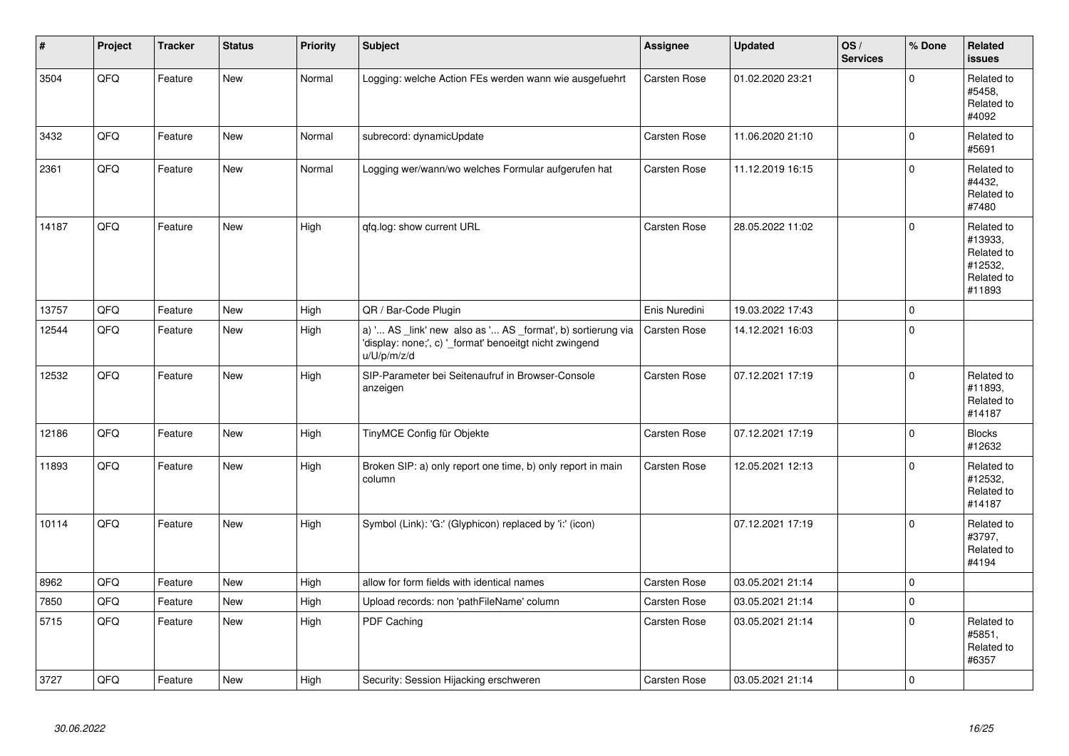| $\vert$ # | Project | <b>Tracker</b> | <b>Status</b> | <b>Priority</b> | <b>Subject</b>                                                                                                                        | Assignee            | <b>Updated</b>   | OS/<br><b>Services</b> | % Done       | <b>Related</b><br><b>issues</b>                                        |
|-----------|---------|----------------|---------------|-----------------|---------------------------------------------------------------------------------------------------------------------------------------|---------------------|------------------|------------------------|--------------|------------------------------------------------------------------------|
| 3504      | QFQ     | Feature        | <b>New</b>    | Normal          | Logging: welche Action FEs werden wann wie ausgefuehrt                                                                                | <b>Carsten Rose</b> | 01.02.2020 23:21 |                        | $\Omega$     | Related to<br>#5458.<br>Related to<br>#4092                            |
| 3432      | QFQ     | Feature        | New           | Normal          | subrecord: dynamicUpdate                                                                                                              | Carsten Rose        | 11.06.2020 21:10 |                        | 0            | Related to<br>#5691                                                    |
| 2361      | QFQ     | Feature        | New           | Normal          | Logging wer/wann/wo welches Formular aufgerufen hat                                                                                   | Carsten Rose        | 11.12.2019 16:15 |                        | $\mathbf{0}$ | Related to<br>#4432,<br>Related to<br>#7480                            |
| 14187     | QFQ     | Feature        | <b>New</b>    | High            | qfq.log: show current URL                                                                                                             | Carsten Rose        | 28.05.2022 11:02 |                        | $\Omega$     | Related to<br>#13933,<br>Related to<br>#12532,<br>Related to<br>#11893 |
| 13757     | QFQ     | Feature        | <b>New</b>    | High            | QR / Bar-Code Plugin                                                                                                                  | Enis Nuredini       | 19.03.2022 17:43 |                        | $\mathbf{0}$ |                                                                        |
| 12544     | QFQ     | Feature        | New           | High            | a) ' AS _link' new also as ' AS _format', b) sortierung via<br>'display: none;', c) ' format' benoeitgt nicht zwingend<br>u/U/p/m/z/d | Carsten Rose        | 14.12.2021 16:03 |                        | $\Omega$     |                                                                        |
| 12532     | QFQ     | Feature        | New           | High            | SIP-Parameter bei Seitenaufruf in Browser-Console<br>anzeigen                                                                         | Carsten Rose        | 07.12.2021 17:19 |                        | $\Omega$     | Related to<br>#11893.<br>Related to<br>#14187                          |
| 12186     | QFQ     | Feature        | <b>New</b>    | High            | TinyMCE Config für Objekte                                                                                                            | <b>Carsten Rose</b> | 07.12.2021 17:19 |                        | $\Omega$     | <b>Blocks</b><br>#12632                                                |
| 11893     | QFQ     | Feature        | New           | High            | Broken SIP: a) only report one time, b) only report in main<br>column                                                                 | Carsten Rose        | 12.05.2021 12:13 |                        | $\Omega$     | Related to<br>#12532,<br>Related to<br>#14187                          |
| 10114     | QFQ     | Feature        | <b>New</b>    | High            | Symbol (Link): 'G:' (Glyphicon) replaced by 'i:' (icon)                                                                               |                     | 07.12.2021 17:19 |                        | $\Omega$     | Related to<br>#3797.<br>Related to<br>#4194                            |
| 8962      | QFQ     | Feature        | <b>New</b>    | High            | allow for form fields with identical names                                                                                            | <b>Carsten Rose</b> | 03.05.2021 21:14 |                        | $\mathbf{0}$ |                                                                        |
| 7850      | QFQ     | Feature        | <b>New</b>    | High            | Upload records: non 'pathFileName' column                                                                                             | Carsten Rose        | 03.05.2021 21:14 |                        | $\mathbf 0$  |                                                                        |
| 5715      | QFQ     | Feature        | <b>New</b>    | High            | PDF Caching                                                                                                                           | Carsten Rose        | 03.05.2021 21:14 |                        | $\mathbf{0}$ | Related to<br>#5851,<br>Related to<br>#6357                            |
| 3727      | QFQ     | Feature        | New           | High            | Security: Session Hijacking erschweren                                                                                                | Carsten Rose        | 03.05.2021 21:14 |                        | $\mathbf 0$  |                                                                        |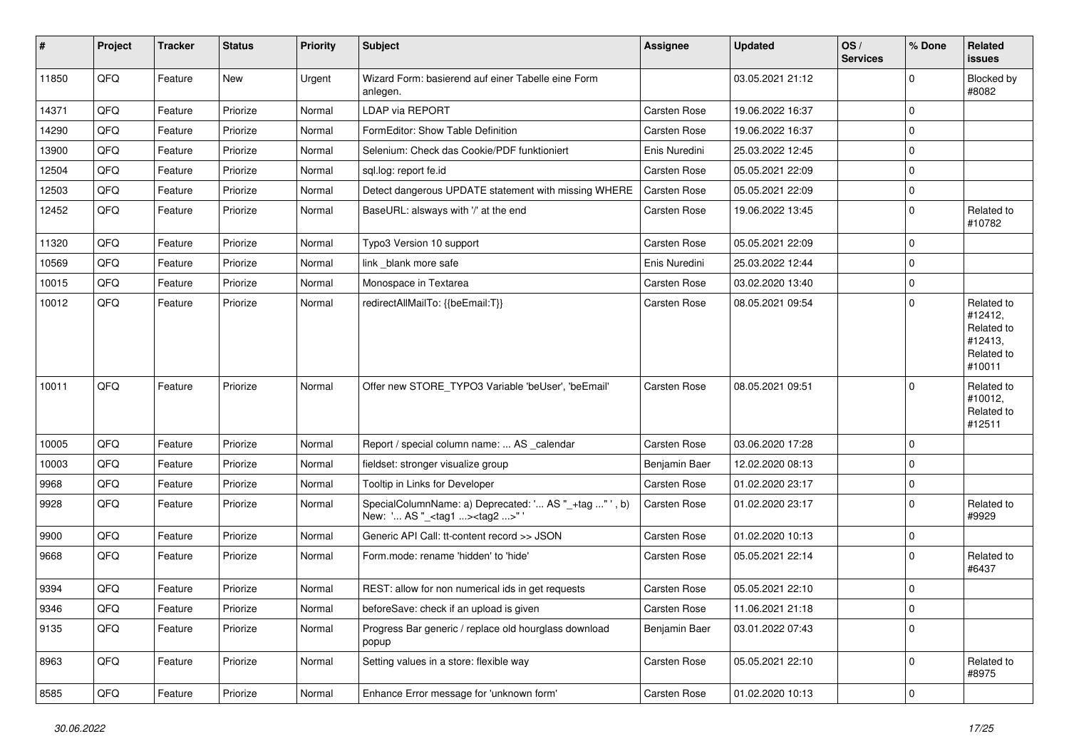| #     | Project        | <b>Tracker</b> | <b>Status</b> | <b>Priority</b> | Subject                                                                                             | <b>Assignee</b> | <b>Updated</b>   | OS/<br><b>Services</b> | % Done      | Related<br><b>issues</b>                                               |
|-------|----------------|----------------|---------------|-----------------|-----------------------------------------------------------------------------------------------------|-----------------|------------------|------------------------|-------------|------------------------------------------------------------------------|
| 11850 | QFQ            | Feature        | <b>New</b>    | Urgent          | Wizard Form: basierend auf einer Tabelle eine Form<br>anlegen.                                      |                 | 03.05.2021 21:12 |                        | $\mathbf 0$ | Blocked by<br>#8082                                                    |
| 14371 | QFQ            | Feature        | Priorize      | Normal          | <b>LDAP via REPORT</b>                                                                              | Carsten Rose    | 19.06.2022 16:37 |                        | $\mathbf 0$ |                                                                        |
| 14290 | QFQ            | Feature        | Priorize      | Normal          | FormEditor: Show Table Definition                                                                   | Carsten Rose    | 19.06.2022 16:37 |                        | $\mathbf 0$ |                                                                        |
| 13900 | QFQ            | Feature        | Priorize      | Normal          | Selenium: Check das Cookie/PDF funktioniert                                                         | Enis Nuredini   | 25.03.2022 12:45 |                        | 0           |                                                                        |
| 12504 | QFQ            | Feature        | Priorize      | Normal          | sql.log: report fe.id                                                                               | Carsten Rose    | 05.05.2021 22:09 |                        | $\mathbf 0$ |                                                                        |
| 12503 | QFQ            | Feature        | Priorize      | Normal          | Detect dangerous UPDATE statement with missing WHERE                                                | Carsten Rose    | 05.05.2021 22:09 |                        | $\mathbf 0$ |                                                                        |
| 12452 | QFQ            | Feature        | Priorize      | Normal          | BaseURL: alsways with '/' at the end                                                                | Carsten Rose    | 19.06.2022 13:45 |                        | $\mathbf 0$ | Related to<br>#10782                                                   |
| 11320 | QFQ            | Feature        | Priorize      | Normal          | Typo3 Version 10 support                                                                            | Carsten Rose    | 05.05.2021 22:09 |                        | $\mathbf 0$ |                                                                        |
| 10569 | QFQ            | Feature        | Priorize      | Normal          | link blank more safe                                                                                | Enis Nuredini   | 25.03.2022 12:44 |                        | $\mathbf 0$ |                                                                        |
| 10015 | QFQ            | Feature        | Priorize      | Normal          | Monospace in Textarea                                                                               | Carsten Rose    | 03.02.2020 13:40 |                        | $\mathbf 0$ |                                                                        |
| 10012 | QFQ            | Feature        | Priorize      | Normal          | redirectAllMailTo: {{beEmail:T}}                                                                    | Carsten Rose    | 08.05.2021 09:54 |                        | $\mathbf 0$ | Related to<br>#12412,<br>Related to<br>#12413,<br>Related to<br>#10011 |
| 10011 | QFQ            | Feature        | Priorize      | Normal          | Offer new STORE_TYPO3 Variable 'beUser', 'beEmail'                                                  | Carsten Rose    | 08.05.2021 09:51 |                        | $\mathbf 0$ | Related to<br>#10012,<br>Related to<br>#12511                          |
| 10005 | QFQ            | Feature        | Priorize      | Normal          | Report / special column name:  AS _calendar                                                         | Carsten Rose    | 03.06.2020 17:28 |                        | $\mathbf 0$ |                                                                        |
| 10003 | QFQ            | Feature        | Priorize      | Normal          | fieldset: stronger visualize group                                                                  | Benjamin Baer   | 12.02.2020 08:13 |                        | $\mathbf 0$ |                                                                        |
| 9968  | QFQ            | Feature        | Priorize      | Normal          | Tooltip in Links for Developer                                                                      | Carsten Rose    | 01.02.2020 23:17 |                        | $\mathbf 0$ |                                                                        |
| 9928  | QFQ            | Feature        | Priorize      | Normal          | SpecialColumnName: a) Deprecated: ' AS "_+tag " ', b)<br>New: ' AS "_ <tag1><tag2>" '</tag2></tag1> | Carsten Rose    | 01.02.2020 23:17 |                        | $\mathbf 0$ | Related to<br>#9929                                                    |
| 9900  | QFQ            | Feature        | Priorize      | Normal          | Generic API Call: tt-content record >> JSON                                                         | Carsten Rose    | 01.02.2020 10:13 |                        | $\mathbf 0$ |                                                                        |
| 9668  | QFQ            | Feature        | Priorize      | Normal          | Form.mode: rename 'hidden' to 'hide'                                                                | Carsten Rose    | 05.05.2021 22:14 |                        | 0           | Related to<br>#6437                                                    |
| 9394  | QFQ            | Feature        | Priorize      | Normal          | REST: allow for non numerical ids in get requests                                                   | Carsten Rose    | 05.05.2021 22:10 |                        | $\mathbf 0$ |                                                                        |
| 9346  | QFQ            | Feature        | Priorize      | Normal          | beforeSave: check if an upload is given                                                             | Carsten Rose    | 11.06.2021 21:18 |                        | 0           |                                                                        |
| 9135  | QFQ            | Feature        | Priorize      | Normal          | Progress Bar generic / replace old hourglass download<br>popup                                      | Benjamin Baer   | 03.01.2022 07:43 |                        | $\mathbf 0$ |                                                                        |
| 8963  | QFQ            | Feature        | Priorize      | Normal          | Setting values in a store: flexible way                                                             | Carsten Rose    | 05.05.2021 22:10 |                        | $\mathbf 0$ | Related to<br>#8975                                                    |
| 8585  | $\mathsf{QFQ}$ | Feature        | Priorize      | Normal          | Enhance Error message for 'unknown form'                                                            | Carsten Rose    | 01.02.2020 10:13 |                        | $\pmb{0}$   |                                                                        |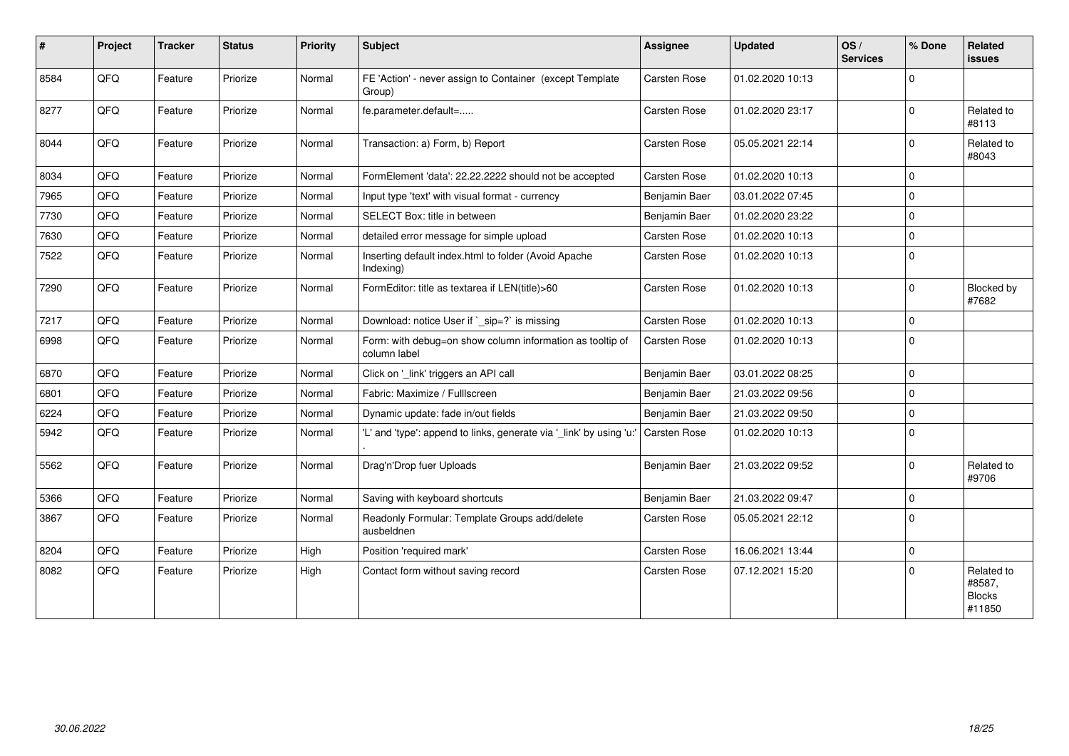| #    | Project | <b>Tracker</b> | <b>Status</b> | <b>Priority</b> | <b>Subject</b>                                                            | <b>Assignee</b> | <b>Updated</b>   | OS/<br><b>Services</b> | % Done      | Related<br><b>issues</b>                        |
|------|---------|----------------|---------------|-----------------|---------------------------------------------------------------------------|-----------------|------------------|------------------------|-------------|-------------------------------------------------|
| 8584 | QFQ     | Feature        | Priorize      | Normal          | FE 'Action' - never assign to Container (except Template<br>Group)        | Carsten Rose    | 01.02.2020 10:13 |                        | $\Omega$    |                                                 |
| 8277 | QFQ     | Feature        | Priorize      | Normal          | fe.parameter.default=                                                     | Carsten Rose    | 01.02.2020 23:17 |                        | $\Omega$    | Related to<br>#8113                             |
| 8044 | QFQ     | Feature        | Priorize      | Normal          | Transaction: a) Form, b) Report                                           | Carsten Rose    | 05.05.2021 22:14 |                        | $\Omega$    | Related to<br>#8043                             |
| 8034 | QFQ     | Feature        | Priorize      | Normal          | FormElement 'data': 22.22.2222 should not be accepted                     | Carsten Rose    | 01.02.2020 10:13 |                        | $\Omega$    |                                                 |
| 7965 | QFQ     | Feature        | Priorize      | Normal          | Input type 'text' with visual format - currency                           | Benjamin Baer   | 03.01.2022 07:45 |                        | $\Omega$    |                                                 |
| 7730 | QFQ     | Feature        | Priorize      | Normal          | SELECT Box: title in between                                              | Benjamin Baer   | 01.02.2020 23:22 |                        | $\Omega$    |                                                 |
| 7630 | QFQ     | Feature        | Priorize      | Normal          | detailed error message for simple upload                                  | Carsten Rose    | 01.02.2020 10:13 |                        | $\Omega$    |                                                 |
| 7522 | QFQ     | Feature        | Priorize      | Normal          | Inserting default index.html to folder (Avoid Apache<br>Indexing)         | Carsten Rose    | 01.02.2020 10:13 |                        | $\Omega$    |                                                 |
| 7290 | QFQ     | Feature        | Priorize      | Normal          | FormEditor: title as textarea if LEN(title)>60                            | Carsten Rose    | 01.02.2020 10:13 |                        | $\mathbf 0$ | <b>Blocked by</b><br>#7682                      |
| 7217 | QFQ     | Feature        | Priorize      | Normal          | Download: notice User if `_sip=?` is missing                              | Carsten Rose    | 01.02.2020 10:13 |                        | $\Omega$    |                                                 |
| 6998 | QFQ     | Feature        | Priorize      | Normal          | Form: with debug=on show column information as tooltip of<br>column label | Carsten Rose    | 01.02.2020 10:13 |                        | $\Omega$    |                                                 |
| 6870 | QFQ     | Feature        | Priorize      | Normal          | Click on '_link' triggers an API call                                     | Benjamin Baer   | 03.01.2022 08:25 |                        | $\Omega$    |                                                 |
| 6801 | QFQ     | Feature        | Priorize      | Normal          | Fabric: Maximize / Fulllscreen                                            | Benjamin Baer   | 21.03.2022 09:56 |                        | $\Omega$    |                                                 |
| 6224 | QFQ     | Feature        | Priorize      | Normal          | Dynamic update: fade in/out fields                                        | Benjamin Baer   | 21.03.2022 09:50 |                        | $\mathbf 0$ |                                                 |
| 5942 | QFQ     | Feature        | Priorize      | Normal          | 'L' and 'type': append to links, generate via '_link' by using 'u:'       | Carsten Rose    | 01.02.2020 10:13 |                        | $\Omega$    |                                                 |
| 5562 | QFQ     | Feature        | Priorize      | Normal          | Drag'n'Drop fuer Uploads                                                  | Benjamin Baer   | 21.03.2022 09:52 |                        | $\Omega$    | Related to<br>#9706                             |
| 5366 | QFQ     | Feature        | Priorize      | Normal          | Saving with keyboard shortcuts                                            | Benjamin Baer   | 21.03.2022 09:47 |                        | $\mathbf 0$ |                                                 |
| 3867 | QFQ     | Feature        | Priorize      | Normal          | Readonly Formular: Template Groups add/delete<br>ausbeldnen               | Carsten Rose    | 05.05.2021 22:12 |                        | $\Omega$    |                                                 |
| 8204 | QFQ     | Feature        | Priorize      | High            | Position 'required mark'                                                  | Carsten Rose    | 16.06.2021 13:44 |                        | $\mathbf 0$ |                                                 |
| 8082 | QFQ     | Feature        | Priorize      | High            | Contact form without saving record                                        | Carsten Rose    | 07.12.2021 15:20 |                        | $\Omega$    | Related to<br>#8587,<br><b>Blocks</b><br>#11850 |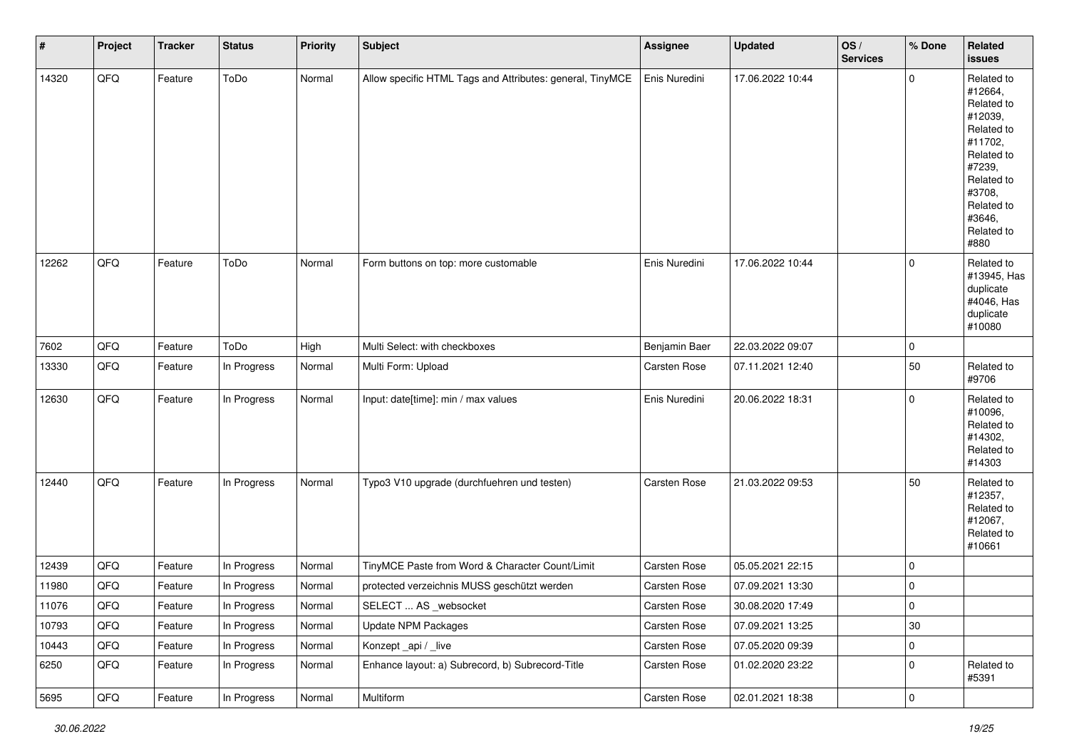| $\vert$ # | Project | <b>Tracker</b> | <b>Status</b> | <b>Priority</b> | <b>Subject</b>                                            | <b>Assignee</b> | Updated          | OS/<br><b>Services</b> | % Done      | Related<br><b>issues</b>                                                                                                                                              |
|-----------|---------|----------------|---------------|-----------------|-----------------------------------------------------------|-----------------|------------------|------------------------|-------------|-----------------------------------------------------------------------------------------------------------------------------------------------------------------------|
| 14320     | QFO     | Feature        | ToDo          | Normal          | Allow specific HTML Tags and Attributes: general, TinyMCE | Enis Nuredini   | 17.06.2022 10:44 |                        | 0           | Related to<br>#12664,<br>Related to<br>#12039,<br>Related to<br>#11702,<br>Related to<br>#7239,<br>Related to<br>#3708,<br>Related to<br>#3646,<br>Related to<br>#880 |
| 12262     | QFQ     | Feature        | ToDo          | Normal          | Form buttons on top: more customable                      | Enis Nuredini   | 17.06.2022 10:44 |                        | $\mathbf 0$ | Related to<br>#13945, Has<br>duplicate<br>#4046, Has<br>duplicate<br>#10080                                                                                           |
| 7602      | QFO     | Feature        | ToDo          | High            | Multi Select: with checkboxes                             | Benjamin Baer   | 22.03.2022 09:07 |                        | $\pmb{0}$   |                                                                                                                                                                       |
| 13330     | QFQ     | Feature        | In Progress   | Normal          | Multi Form: Upload                                        | Carsten Rose    | 07.11.2021 12:40 |                        | 50          | Related to<br>#9706                                                                                                                                                   |
| 12630     | QFO     | Feature        | In Progress   | Normal          | Input: date[time]: min / max values                       | Enis Nuredini   | 20.06.2022 18:31 |                        | $\mathbf 0$ | Related to<br>#10096,<br>Related to<br>#14302,<br>Related to<br>#14303                                                                                                |
| 12440     | QFQ     | Feature        | In Progress   | Normal          | Typo3 V10 upgrade (durchfuehren und testen)               | Carsten Rose    | 21.03.2022 09:53 |                        | 50          | Related to<br>#12357,<br>Related to<br>#12067,<br>Related to<br>#10661                                                                                                |
| 12439     | QFQ     | Feature        | In Progress   | Normal          | TinyMCE Paste from Word & Character Count/Limit           | Carsten Rose    | 05.05.2021 22:15 |                        | $\mathbf 0$ |                                                                                                                                                                       |
| 11980     | QFQ     | Feature        | In Progress   | Normal          | protected verzeichnis MUSS geschützt werden               | Carsten Rose    | 07.09.2021 13:30 |                        | $\pmb{0}$   |                                                                                                                                                                       |
| 11076     | QFQ     | Feature        | In Progress   | Normal          | SELECT  AS _websocket                                     | Carsten Rose    | 30.08.2020 17:49 |                        | $\pmb{0}$   |                                                                                                                                                                       |
| 10793     | QFQ     | Feature        | In Progress   | Normal          | Update NPM Packages                                       | Carsten Rose    | 07.09.2021 13:25 |                        | $30\,$      |                                                                                                                                                                       |
| 10443     | QFQ     | Feature        | In Progress   | Normal          | Konzept_api / _live                                       | Carsten Rose    | 07.05.2020 09:39 |                        | $\pmb{0}$   |                                                                                                                                                                       |
| 6250      | QFQ     | Feature        | In Progress   | Normal          | Enhance layout: a) Subrecord, b) Subrecord-Title          | Carsten Rose    | 01.02.2020 23:22 |                        | $\pmb{0}$   | Related to<br>#5391                                                                                                                                                   |
| 5695      | QFG     | Feature        | In Progress   | Normal          | Multiform                                                 | Carsten Rose    | 02.01.2021 18:38 |                        | $\pmb{0}$   |                                                                                                                                                                       |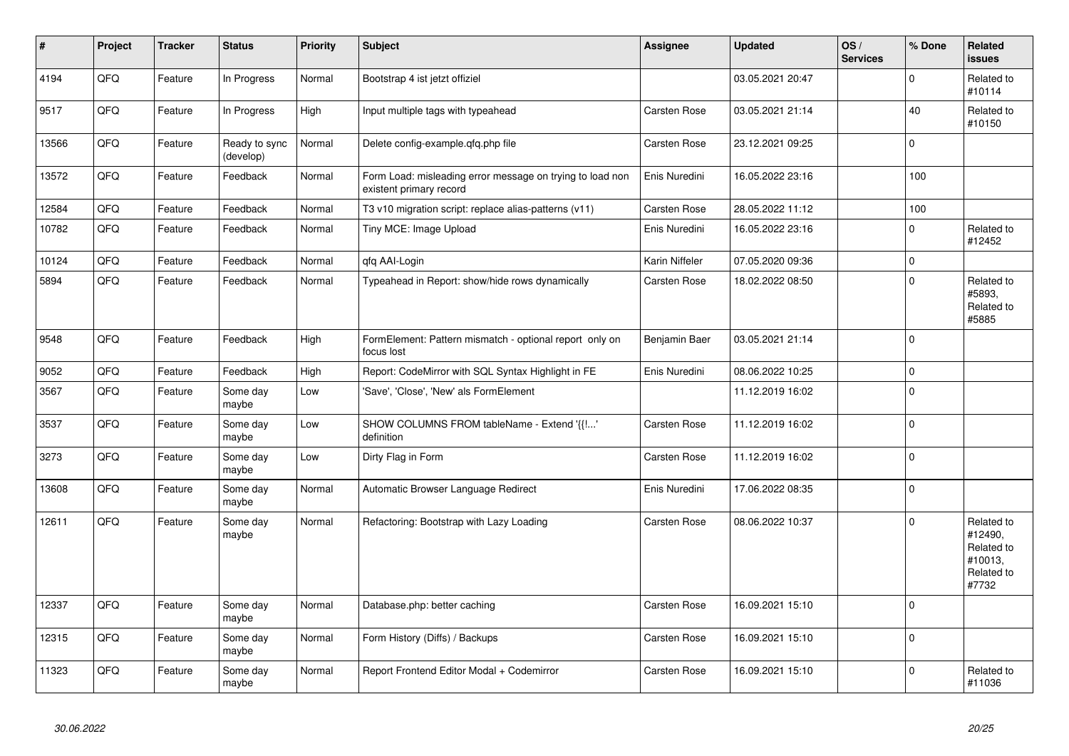| #     | Project | <b>Tracker</b> | <b>Status</b>              | <b>Priority</b> | <b>Subject</b>                                                                       | Assignee            | <b>Updated</b>   | os/<br><b>Services</b> | % Done      | Related<br><b>issues</b>                                              |
|-------|---------|----------------|----------------------------|-----------------|--------------------------------------------------------------------------------------|---------------------|------------------|------------------------|-------------|-----------------------------------------------------------------------|
| 4194  | QFQ     | Feature        | In Progress                | Normal          | Bootstrap 4 ist jetzt offiziel                                                       |                     | 03.05.2021 20:47 |                        | $\Omega$    | Related to<br>#10114                                                  |
| 9517  | QFQ     | Feature        | In Progress                | High            | Input multiple tags with typeahead                                                   | Carsten Rose        | 03.05.2021 21:14 |                        | 40          | Related to<br>#10150                                                  |
| 13566 | QFQ     | Feature        | Ready to sync<br>(develop) | Normal          | Delete config-example.gfg.php file                                                   | Carsten Rose        | 23.12.2021 09:25 |                        | $\Omega$    |                                                                       |
| 13572 | QFQ     | Feature        | Feedback                   | Normal          | Form Load: misleading error message on trying to load non<br>existent primary record | Enis Nuredini       | 16.05.2022 23:16 |                        | 100         |                                                                       |
| 12584 | QFQ     | Feature        | Feedback                   | Normal          | T3 v10 migration script: replace alias-patterns (v11)                                | Carsten Rose        | 28.05.2022 11:12 |                        | 100         |                                                                       |
| 10782 | QFQ     | Feature        | Feedback                   | Normal          | Tiny MCE: Image Upload                                                               | Enis Nuredini       | 16.05.2022 23:16 |                        | $\mathbf 0$ | Related to<br>#12452                                                  |
| 10124 | QFQ     | Feature        | Feedback                   | Normal          | qfq AAI-Login                                                                        | Karin Niffeler      | 07.05.2020 09:36 |                        | $\mathbf 0$ |                                                                       |
| 5894  | QFQ     | Feature        | Feedback                   | Normal          | Typeahead in Report: show/hide rows dynamically                                      | Carsten Rose        | 18.02.2022 08:50 |                        | $\Omega$    | Related to<br>#5893,<br>Related to<br>#5885                           |
| 9548  | QFQ     | Feature        | Feedback                   | High            | FormElement: Pattern mismatch - optional report only on<br>focus lost                | Benjamin Baer       | 03.05.2021 21:14 |                        | $\mathbf 0$ |                                                                       |
| 9052  | QFQ     | Feature        | Feedback                   | High            | Report: CodeMirror with SQL Syntax Highlight in FE                                   | Enis Nuredini       | 08.06.2022 10:25 |                        | $\mathbf 0$ |                                                                       |
| 3567  | QFQ     | Feature        | Some day<br>maybe          | Low             | 'Save', 'Close', 'New' als FormElement                                               |                     | 11.12.2019 16:02 |                        | $\Omega$    |                                                                       |
| 3537  | QFQ     | Feature        | Some day<br>maybe          | Low             | SHOW COLUMNS FROM tableName - Extend '{{!'<br>definition                             | Carsten Rose        | 11.12.2019 16:02 |                        | $\Omega$    |                                                                       |
| 3273  | QFQ     | Feature        | Some day<br>maybe          | Low             | Dirty Flag in Form                                                                   | Carsten Rose        | 11.12.2019 16:02 |                        | $\mathbf 0$ |                                                                       |
| 13608 | QFQ     | Feature        | Some day<br>maybe          | Normal          | Automatic Browser Language Redirect                                                  | Enis Nuredini       | 17.06.2022 08:35 |                        | $\Omega$    |                                                                       |
| 12611 | QFO     | Feature        | Some day<br>maybe          | Normal          | Refactoring: Bootstrap with Lazy Loading                                             | <b>Carsten Rose</b> | 08.06.2022 10:37 |                        | $\Omega$    | Related to<br>#12490,<br>Related to<br>#10013,<br>Related to<br>#7732 |
| 12337 | QFQ     | Feature        | Some day<br>maybe          | Normal          | Database.php: better caching                                                         | Carsten Rose        | 16.09.2021 15:10 |                        | $\Omega$    |                                                                       |
| 12315 | QFQ     | Feature        | Some day<br>maybe          | Normal          | Form History (Diffs) / Backups                                                       | Carsten Rose        | 16.09.2021 15:10 |                        | $\mathbf 0$ |                                                                       |
| 11323 | QFQ     | Feature        | Some day<br>maybe          | Normal          | Report Frontend Editor Modal + Codemirror                                            | Carsten Rose        | 16.09.2021 15:10 |                        | $\Omega$    | Related to<br>#11036                                                  |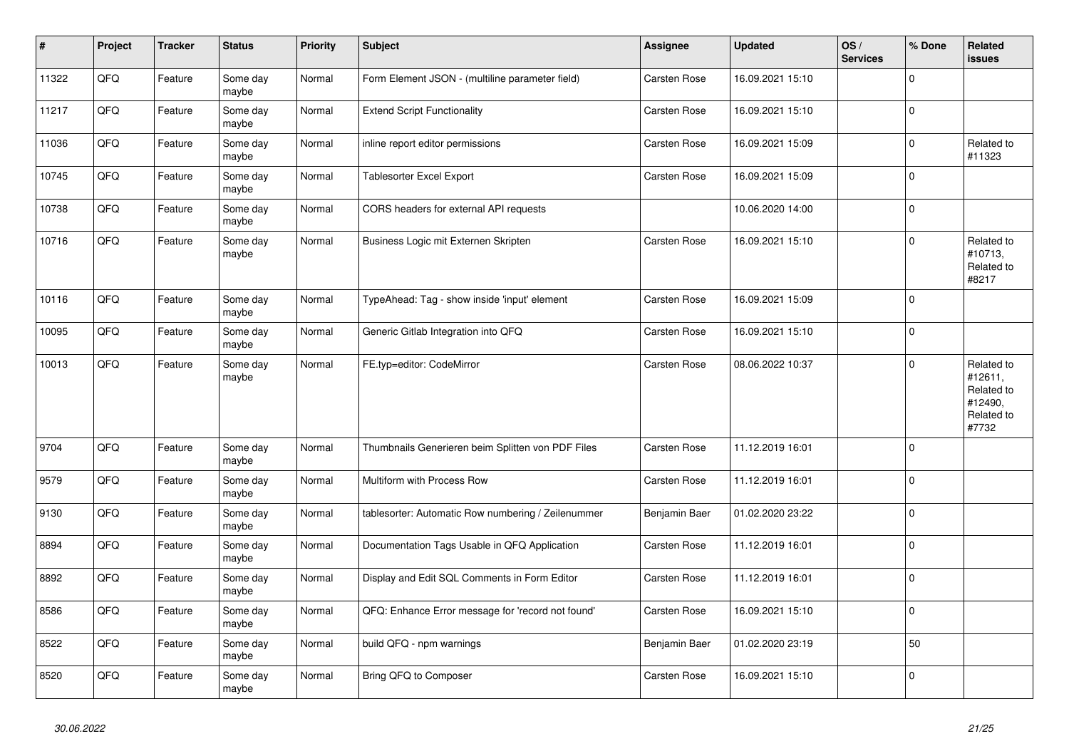| $\vert$ # | Project | <b>Tracker</b> | <b>Status</b>     | <b>Priority</b> | <b>Subject</b>                                     | Assignee      | <b>Updated</b>   | OS/<br><b>Services</b> | % Done      | Related<br><b>issues</b>                                              |
|-----------|---------|----------------|-------------------|-----------------|----------------------------------------------------|---------------|------------------|------------------------|-------------|-----------------------------------------------------------------------|
| 11322     | QFQ     | Feature        | Some day<br>maybe | Normal          | Form Element JSON - (multiline parameter field)    | Carsten Rose  | 16.09.2021 15:10 |                        | $\Omega$    |                                                                       |
| 11217     | QFQ     | Feature        | Some day<br>maybe | Normal          | <b>Extend Script Functionality</b>                 | Carsten Rose  | 16.09.2021 15:10 |                        | $\mathbf 0$ |                                                                       |
| 11036     | QFQ     | Feature        | Some day<br>maybe | Normal          | inline report editor permissions                   | Carsten Rose  | 16.09.2021 15:09 |                        | $\mathbf 0$ | Related to<br>#11323                                                  |
| 10745     | QFQ     | Feature        | Some day<br>maybe | Normal          | <b>Tablesorter Excel Export</b>                    | Carsten Rose  | 16.09.2021 15:09 |                        | $\Omega$    |                                                                       |
| 10738     | QFQ     | Feature        | Some day<br>maybe | Normal          | CORS headers for external API requests             |               | 10.06.2020 14:00 |                        | $\mathbf 0$ |                                                                       |
| 10716     | QFQ     | Feature        | Some day<br>maybe | Normal          | Business Logic mit Externen Skripten               | Carsten Rose  | 16.09.2021 15:10 |                        | $\Omega$    | Related to<br>#10713,<br>Related to<br>#8217                          |
| 10116     | QFQ     | Feature        | Some day<br>maybe | Normal          | TypeAhead: Tag - show inside 'input' element       | Carsten Rose  | 16.09.2021 15:09 |                        | $\Omega$    |                                                                       |
| 10095     | QFQ     | Feature        | Some day<br>maybe | Normal          | Generic Gitlab Integration into QFQ                | Carsten Rose  | 16.09.2021 15:10 |                        | $\mathbf 0$ |                                                                       |
| 10013     | QFQ     | Feature        | Some day<br>maybe | Normal          | FE.typ=editor: CodeMirror                          | Carsten Rose  | 08.06.2022 10:37 |                        | $\Omega$    | Related to<br>#12611,<br>Related to<br>#12490,<br>Related to<br>#7732 |
| 9704      | QFQ     | Feature        | Some day<br>maybe | Normal          | Thumbnails Generieren beim Splitten von PDF Files  | Carsten Rose  | 11.12.2019 16:01 |                        | $\Omega$    |                                                                       |
| 9579      | QFQ     | Feature        | Some day<br>maybe | Normal          | Multiform with Process Row                         | Carsten Rose  | 11.12.2019 16:01 |                        | $\Omega$    |                                                                       |
| 9130      | QFQ     | Feature        | Some day<br>maybe | Normal          | tablesorter: Automatic Row numbering / Zeilenummer | Benjamin Baer | 01.02.2020 23:22 |                        | $\mathbf 0$ |                                                                       |
| 8894      | QFQ     | Feature        | Some day<br>maybe | Normal          | Documentation Tags Usable in QFQ Application       | Carsten Rose  | 11.12.2019 16:01 |                        | $\Omega$    |                                                                       |
| 8892      | QFQ     | Feature        | Some day<br>maybe | Normal          | Display and Edit SQL Comments in Form Editor       | Carsten Rose  | 11.12.2019 16:01 |                        | $\mathbf 0$ |                                                                       |
| 8586      | QFQ     | Feature        | Some day<br>maybe | Normal          | QFQ: Enhance Error message for 'record not found'  | Carsten Rose  | 16.09.2021 15:10 |                        | $\Omega$    |                                                                       |
| 8522      | QFQ     | Feature        | Some day<br>maybe | Normal          | build QFQ - npm warnings                           | Benjamin Baer | 01.02.2020 23:19 |                        | 50          |                                                                       |
| 8520      | QFQ     | Feature        | Some day<br>maybe | Normal          | Bring QFQ to Composer                              | Carsten Rose  | 16.09.2021 15:10 |                        | $\Omega$    |                                                                       |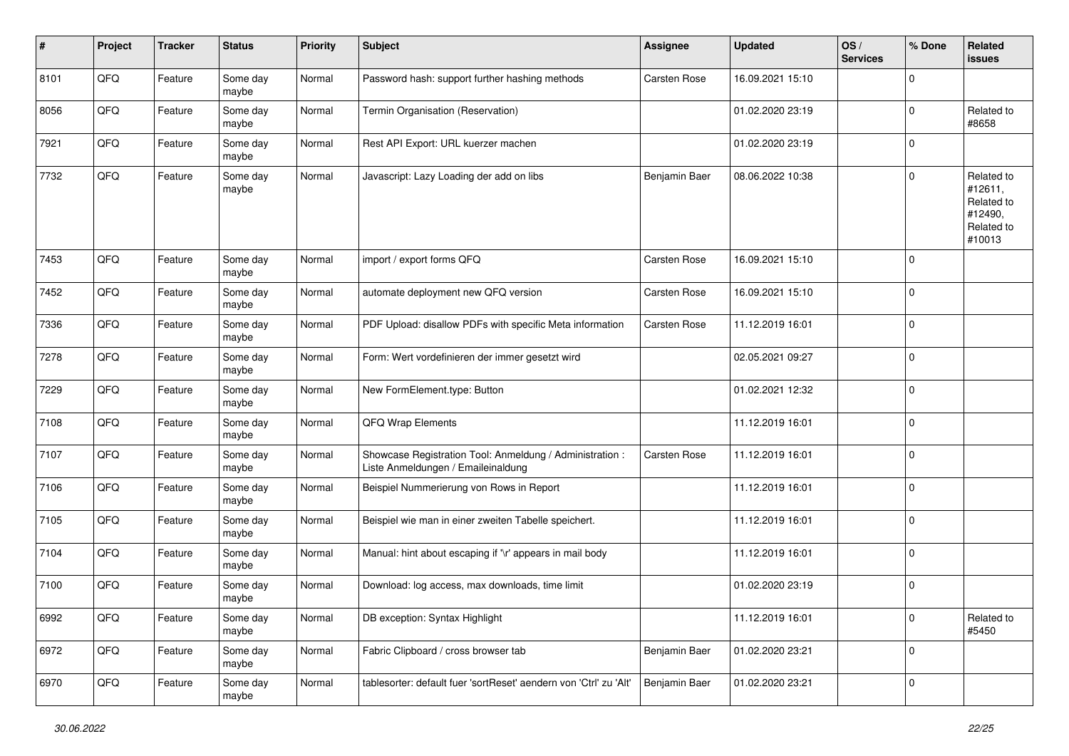| #    | Project | <b>Tracker</b> | <b>Status</b>     | <b>Priority</b> | <b>Subject</b>                                                                                 | <b>Assignee</b> | <b>Updated</b>   | OS/<br><b>Services</b> | % Done      | Related<br>issues                                                      |
|------|---------|----------------|-------------------|-----------------|------------------------------------------------------------------------------------------------|-----------------|------------------|------------------------|-------------|------------------------------------------------------------------------|
| 8101 | QFQ     | Feature        | Some day<br>maybe | Normal          | Password hash: support further hashing methods                                                 | Carsten Rose    | 16.09.2021 15:10 |                        | $\mathbf 0$ |                                                                        |
| 8056 | QFQ     | Feature        | Some day<br>maybe | Normal          | Termin Organisation (Reservation)                                                              |                 | 01.02.2020 23:19 |                        | $\mathbf 0$ | Related to<br>#8658                                                    |
| 7921 | QFQ     | Feature        | Some day<br>maybe | Normal          | Rest API Export: URL kuerzer machen                                                            |                 | 01.02.2020 23:19 |                        | 0           |                                                                        |
| 7732 | QFQ     | Feature        | Some day<br>maybe | Normal          | Javascript: Lazy Loading der add on libs                                                       | Benjamin Baer   | 08.06.2022 10:38 |                        | $\mathbf 0$ | Related to<br>#12611,<br>Related to<br>#12490,<br>Related to<br>#10013 |
| 7453 | QFQ     | Feature        | Some day<br>maybe | Normal          | import / export forms QFQ                                                                      | Carsten Rose    | 16.09.2021 15:10 |                        | $\mathbf 0$ |                                                                        |
| 7452 | QFQ     | Feature        | Some day<br>maybe | Normal          | automate deployment new QFQ version                                                            | Carsten Rose    | 16.09.2021 15:10 |                        | $\mathbf 0$ |                                                                        |
| 7336 | QFQ     | Feature        | Some day<br>maybe | Normal          | PDF Upload: disallow PDFs with specific Meta information                                       | Carsten Rose    | 11.12.2019 16:01 |                        | $\mathbf 0$ |                                                                        |
| 7278 | QFQ     | Feature        | Some day<br>maybe | Normal          | Form: Wert vordefinieren der immer gesetzt wird                                                |                 | 02.05.2021 09:27 |                        | $\mathbf 0$ |                                                                        |
| 7229 | QFQ     | Feature        | Some day<br>maybe | Normal          | New FormElement.type: Button                                                                   |                 | 01.02.2021 12:32 |                        | $\mathbf 0$ |                                                                        |
| 7108 | QFQ     | Feature        | Some day<br>maybe | Normal          | QFQ Wrap Elements                                                                              |                 | 11.12.2019 16:01 |                        | $\mathbf 0$ |                                                                        |
| 7107 | QFQ     | Feature        | Some day<br>maybe | Normal          | Showcase Registration Tool: Anmeldung / Administration :<br>Liste Anmeldungen / Emaileinaldung | Carsten Rose    | 11.12.2019 16:01 |                        | $\pmb{0}$   |                                                                        |
| 7106 | QFQ     | Feature        | Some day<br>maybe | Normal          | Beispiel Nummerierung von Rows in Report                                                       |                 | 11.12.2019 16:01 |                        | $\pmb{0}$   |                                                                        |
| 7105 | QFQ     | Feature        | Some day<br>maybe | Normal          | Beispiel wie man in einer zweiten Tabelle speichert.                                           |                 | 11.12.2019 16:01 |                        | $\mathbf 0$ |                                                                        |
| 7104 | QFQ     | Feature        | Some day<br>maybe | Normal          | Manual: hint about escaping if '\r' appears in mail body                                       |                 | 11.12.2019 16:01 |                        | $\mathbf 0$ |                                                                        |
| 7100 | QFQ     | Feature        | Some day<br>maybe | Normal          | Download: log access, max downloads, time limit                                                |                 | 01.02.2020 23:19 |                        | $\mathbf 0$ |                                                                        |
| 6992 | QFQ     | Feature        | Some day<br>maybe | Normal          | DB exception: Syntax Highlight                                                                 |                 | 11.12.2019 16:01 |                        | 0           | Related to<br>#5450                                                    |
| 6972 | QFQ     | Feature        | Some day<br>maybe | Normal          | Fabric Clipboard / cross browser tab                                                           | Benjamin Baer   | 01.02.2020 23:21 |                        | $\pmb{0}$   |                                                                        |
| 6970 | QFQ     | Feature        | Some day<br>maybe | Normal          | tablesorter: default fuer 'sortReset' aendern von 'Ctrl' zu 'Alt'                              | Benjamin Baer   | 01.02.2020 23:21 |                        | $\pmb{0}$   |                                                                        |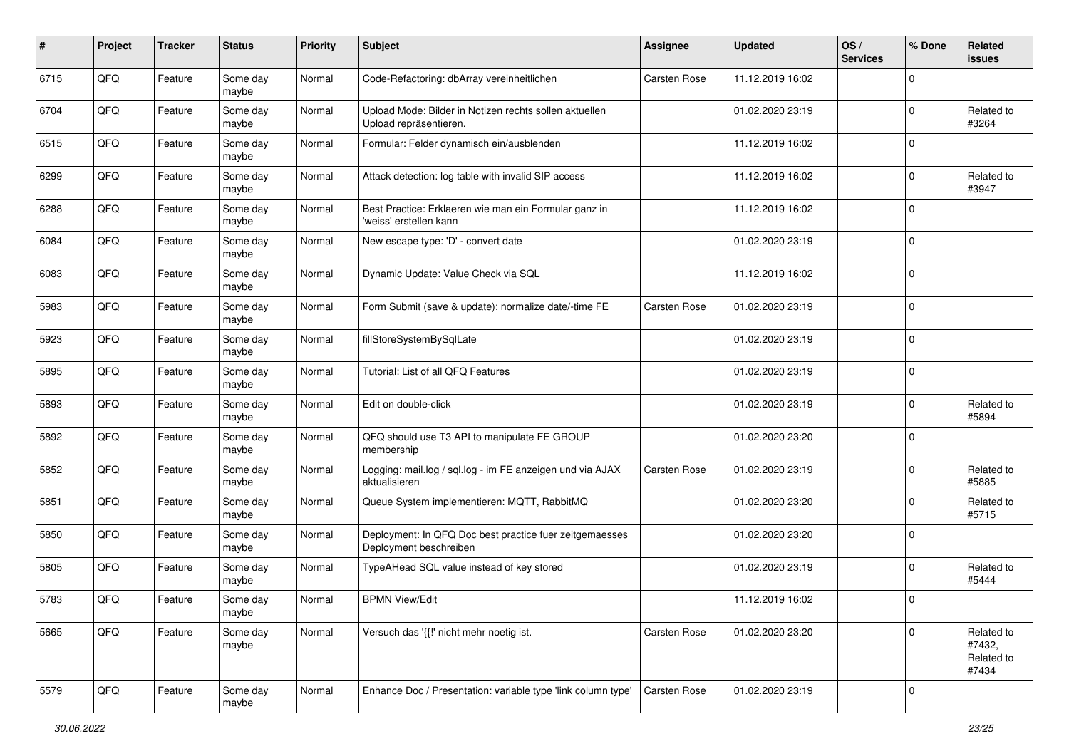| $\sharp$ | Project | <b>Tracker</b> | <b>Status</b>     | <b>Priority</b> | <b>Subject</b>                                                                    | Assignee     | Updated          | OS/<br><b>Services</b> | % Done      | Related<br><b>issues</b>                    |
|----------|---------|----------------|-------------------|-----------------|-----------------------------------------------------------------------------------|--------------|------------------|------------------------|-------------|---------------------------------------------|
| 6715     | QFQ     | Feature        | Some day<br>maybe | Normal          | Code-Refactoring: dbArray vereinheitlichen                                        | Carsten Rose | 11.12.2019 16:02 |                        | $\Omega$    |                                             |
| 6704     | QFQ     | Feature        | Some day<br>maybe | Normal          | Upload Mode: Bilder in Notizen rechts sollen aktuellen<br>Upload repräsentieren.  |              | 01.02.2020 23:19 |                        | $\Omega$    | Related to<br>#3264                         |
| 6515     | QFQ     | Feature        | Some day<br>maybe | Normal          | Formular: Felder dynamisch ein/ausblenden                                         |              | 11.12.2019 16:02 |                        | $\Omega$    |                                             |
| 6299     | QFQ     | Feature        | Some day<br>maybe | Normal          | Attack detection: log table with invalid SIP access                               |              | 11.12.2019 16:02 |                        | $\Omega$    | Related to<br>#3947                         |
| 6288     | QFQ     | Feature        | Some day<br>maybe | Normal          | Best Practice: Erklaeren wie man ein Formular ganz in<br>'weiss' erstellen kann   |              | 11.12.2019 16:02 |                        | $\Omega$    |                                             |
| 6084     | QFQ     | Feature        | Some day<br>maybe | Normal          | New escape type: 'D' - convert date                                               |              | 01.02.2020 23:19 |                        | $\Omega$    |                                             |
| 6083     | QFQ     | Feature        | Some day<br>maybe | Normal          | Dynamic Update: Value Check via SQL                                               |              | 11.12.2019 16:02 |                        | $\Omega$    |                                             |
| 5983     | QFQ     | Feature        | Some day<br>maybe | Normal          | Form Submit (save & update): normalize date/-time FE                              | Carsten Rose | 01.02.2020 23:19 |                        | $\Omega$    |                                             |
| 5923     | QFQ     | Feature        | Some day<br>maybe | Normal          | fillStoreSystemBySqlLate                                                          |              | 01.02.2020 23:19 |                        | $\mathbf 0$ |                                             |
| 5895     | QFQ     | Feature        | Some day<br>maybe | Normal          | Tutorial: List of all QFQ Features                                                |              | 01.02.2020 23:19 |                        | $\Omega$    |                                             |
| 5893     | QFQ     | Feature        | Some day<br>maybe | Normal          | Edit on double-click                                                              |              | 01.02.2020 23:19 |                        | $\mathbf 0$ | Related to<br>#5894                         |
| 5892     | QFQ     | Feature        | Some day<br>maybe | Normal          | QFQ should use T3 API to manipulate FE GROUP<br>membership                        |              | 01.02.2020 23:20 |                        | $\Omega$    |                                             |
| 5852     | QFQ     | Feature        | Some day<br>maybe | Normal          | Logging: mail.log / sql.log - im FE anzeigen und via AJAX<br>aktualisieren        | Carsten Rose | 01.02.2020 23:19 |                        | $\Omega$    | Related to<br>#5885                         |
| 5851     | QFQ     | Feature        | Some day<br>maybe | Normal          | Queue System implementieren: MQTT, RabbitMQ                                       |              | 01.02.2020 23:20 |                        | $\Omega$    | Related to<br>#5715                         |
| 5850     | QFQ     | Feature        | Some day<br>maybe | Normal          | Deployment: In QFQ Doc best practice fuer zeitgemaesses<br>Deployment beschreiben |              | 01.02.2020 23:20 |                        | $\Omega$    |                                             |
| 5805     | QFQ     | Feature        | Some day<br>maybe | Normal          | TypeAHead SQL value instead of key stored                                         |              | 01.02.2020 23:19 |                        | $\Omega$    | Related to<br>#5444                         |
| 5783     | QFQ     | Feature        | Some day<br>maybe | Normal          | <b>BPMN View/Edit</b>                                                             |              | 11.12.2019 16:02 |                        | $\mathbf 0$ |                                             |
| 5665     | QFQ     | Feature        | Some day<br>maybe | Normal          | Versuch das '{{!' nicht mehr noetig ist.                                          | Carsten Rose | 01.02.2020 23:20 |                        | $\Omega$    | Related to<br>#7432,<br>Related to<br>#7434 |
| 5579     | QFG     | Feature        | Some day<br>maybe | Normal          | Enhance Doc / Presentation: variable type 'link column type'                      | Carsten Rose | 01.02.2020 23:19 |                        | $\mathbf 0$ |                                             |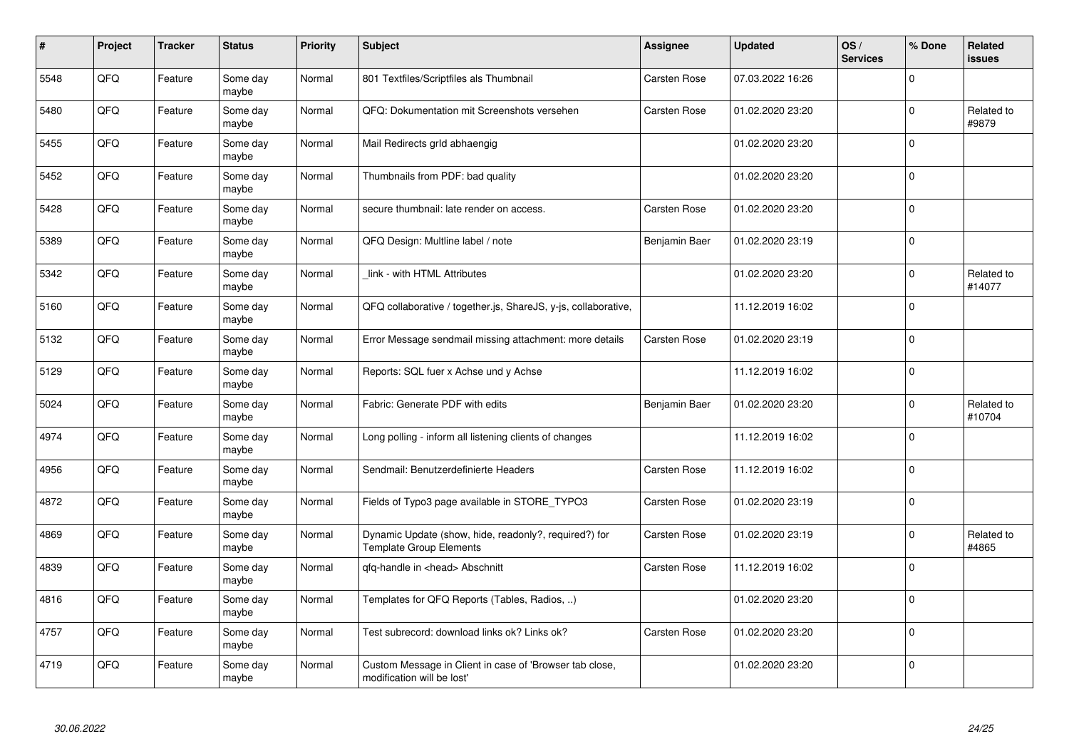| #    | Project | <b>Tracker</b> | <b>Status</b>     | <b>Priority</b> | <b>Subject</b>                                                                          | Assignee            | <b>Updated</b>   | OS/<br><b>Services</b> | % Done      | Related<br><b>issues</b> |
|------|---------|----------------|-------------------|-----------------|-----------------------------------------------------------------------------------------|---------------------|------------------|------------------------|-------------|--------------------------|
| 5548 | QFQ     | Feature        | Some day<br>maybe | Normal          | 801 Textfiles/Scriptfiles als Thumbnail                                                 | <b>Carsten Rose</b> | 07.03.2022 16:26 |                        | $\Omega$    |                          |
| 5480 | QFQ     | Feature        | Some day<br>maybe | Normal          | QFQ: Dokumentation mit Screenshots versehen                                             | Carsten Rose        | 01.02.2020 23:20 |                        | $\mathbf 0$ | Related to<br>#9879      |
| 5455 | QFQ     | Feature        | Some day<br>maybe | Normal          | Mail Redirects grld abhaengig                                                           |                     | 01.02.2020 23:20 |                        | $\mathbf 0$ |                          |
| 5452 | QFQ     | Feature        | Some day<br>maybe | Normal          | Thumbnails from PDF: bad quality                                                        |                     | 01.02.2020 23:20 |                        | $\Omega$    |                          |
| 5428 | QFQ     | Feature        | Some day<br>maybe | Normal          | secure thumbnail: late render on access.                                                | Carsten Rose        | 01.02.2020 23:20 |                        | $\mathbf 0$ |                          |
| 5389 | QFQ     | Feature        | Some day<br>maybe | Normal          | QFQ Design: Multline label / note                                                       | Benjamin Baer       | 01.02.2020 23:19 |                        | $\mathbf 0$ |                          |
| 5342 | QFQ     | Feature        | Some day<br>maybe | Normal          | link - with HTML Attributes                                                             |                     | 01.02.2020 23:20 |                        | $\pmb{0}$   | Related to<br>#14077     |
| 5160 | QFQ     | Feature        | Some day<br>maybe | Normal          | QFQ collaborative / together.js, ShareJS, y-js, collaborative,                          |                     | 11.12.2019 16:02 |                        | $\mathbf 0$ |                          |
| 5132 | QFQ     | Feature        | Some day<br>maybe | Normal          | Error Message sendmail missing attachment: more details                                 | Carsten Rose        | 01.02.2020 23:19 |                        | $\mathbf 0$ |                          |
| 5129 | QFQ     | Feature        | Some day<br>maybe | Normal          | Reports: SQL fuer x Achse und y Achse                                                   |                     | 11.12.2019 16:02 |                        | $\pmb{0}$   |                          |
| 5024 | QFQ     | Feature        | Some day<br>maybe | Normal          | Fabric: Generate PDF with edits                                                         | Benjamin Baer       | 01.02.2020 23:20 |                        | $\mathbf 0$ | Related to<br>#10704     |
| 4974 | QFQ     | Feature        | Some day<br>maybe | Normal          | Long polling - inform all listening clients of changes                                  |                     | 11.12.2019 16:02 |                        | $\mathbf 0$ |                          |
| 4956 | QFQ     | Feature        | Some day<br>maybe | Normal          | Sendmail: Benutzerdefinierte Headers                                                    | Carsten Rose        | 11.12.2019 16:02 |                        | $\pmb{0}$   |                          |
| 4872 | QFQ     | Feature        | Some day<br>maybe | Normal          | Fields of Typo3 page available in STORE_TYPO3                                           | Carsten Rose        | 01.02.2020 23:19 |                        | $\pmb{0}$   |                          |
| 4869 | QFQ     | Feature        | Some day<br>maybe | Normal          | Dynamic Update (show, hide, readonly?, required?) for<br><b>Template Group Elements</b> | Carsten Rose        | 01.02.2020 23:19 |                        | $\mathbf 0$ | Related to<br>#4865      |
| 4839 | QFQ     | Feature        | Some day<br>maybe | Normal          | gfg-handle in <head> Abschnitt</head>                                                   | Carsten Rose        | 11.12.2019 16:02 |                        | $\mathbf 0$ |                          |
| 4816 | QFQ     | Feature        | Some day<br>maybe | Normal          | Templates for QFQ Reports (Tables, Radios, )                                            |                     | 01.02.2020 23:20 |                        | $\mathbf 0$ |                          |
| 4757 | QFQ     | Feature        | Some day<br>maybe | Normal          | Test subrecord: download links ok? Links ok?                                            | Carsten Rose        | 01.02.2020 23:20 |                        | $\pmb{0}$   |                          |
| 4719 | QFQ     | Feature        | Some day<br>maybe | Normal          | Custom Message in Client in case of 'Browser tab close,<br>modification will be lost'   |                     | 01.02.2020 23:20 |                        | $\mathbf 0$ |                          |